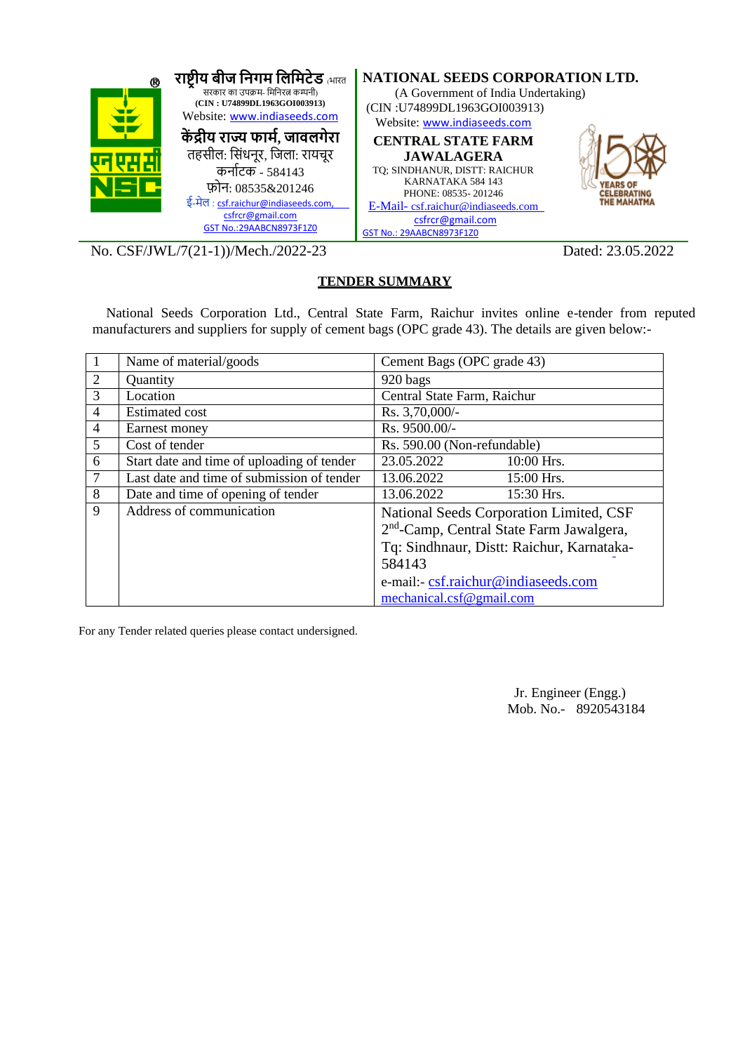

No. CSF/JWL/7(21-1))/Mech./2022-23 Dated: 23.05.2022

#### **TENDER SUMMARY**

National Seeds Corporation Ltd., Central State Farm, Raichur invites online e-tender from reputed manufacturers and suppliers for supply of cement bags (OPC grade 43). The details are given below:-

|                | Name of material/goods                     | Cement Bags (OPC grade 43)                           |
|----------------|--------------------------------------------|------------------------------------------------------|
| 2              | Quantity                                   | 920 bags                                             |
| 3              | Location                                   | Central State Farm, Raichur                          |
| $\overline{4}$ | <b>Estimated cost</b>                      | Rs. 3,70,000/-                                       |
| $\overline{4}$ | Earnest money                              | Rs. 9500.00/-                                        |
| 5              | Cost of tender                             | Rs. 590.00 (Non-refundable)                          |
| 6              | Start date and time of uploading of tender | 23.05.2022<br>10:00 Hrs.                             |
| $\overline{7}$ | Last date and time of submission of tender | 13.06.2022<br>$15:00$ Hrs.                           |
| 8              | Date and time of opening of tender         | 13.06.2022<br>15:30 Hrs.                             |
| 9              | Address of communication                   | National Seeds Corporation Limited, CSF              |
|                |                                            | 2 <sup>nd</sup> -Camp, Central State Farm Jawalgera, |
|                |                                            | Tq: Sindhnaur, Distt: Raichur, Karnataka-            |
|                |                                            | 584143                                               |
|                |                                            | e-mail:- csf.raichur@indiaseeds.com                  |
|                |                                            | mechanical.csf@gmail.com                             |

For any Tender related queries please contact undersigned.

Jr. Engineer (Engg.) Mob. No.- 8920543184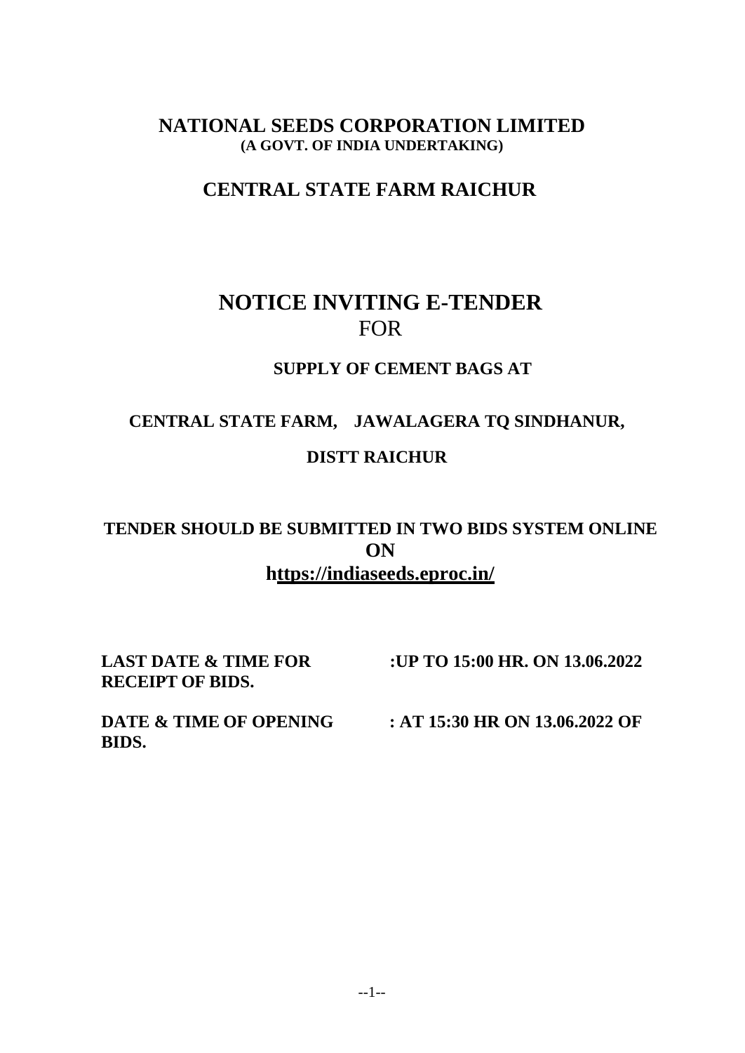## **NATIONAL SEEDS CORPORATION LIMITED (A GOVT. OF INDIA UNDERTAKING)**

# **CENTRAL STATE FARM RAICHUR**

# **NOTICE INVITING E-TENDER** FOR

### **SUPPLY OF CEMENT BAGS AT**

# **CENTRAL STATE FARM, JAWALAGERA TQ SINDHANUR, DISTT RAICHUR**

# **TENDER SHOULD BE SUBMITTED IN TWO BIDS SYSTEM ONLINE ON https://indiaseeds.eproc.in/**

**RECEIPT OF BIDS.**

**LAST DATE & TIME FOR :UP TO 15:00 HR. ON 13.06.2022**

**BIDS.**

**DATE & TIME OF OPENING : AT 15:30 HR ON 13.06.2022 OF**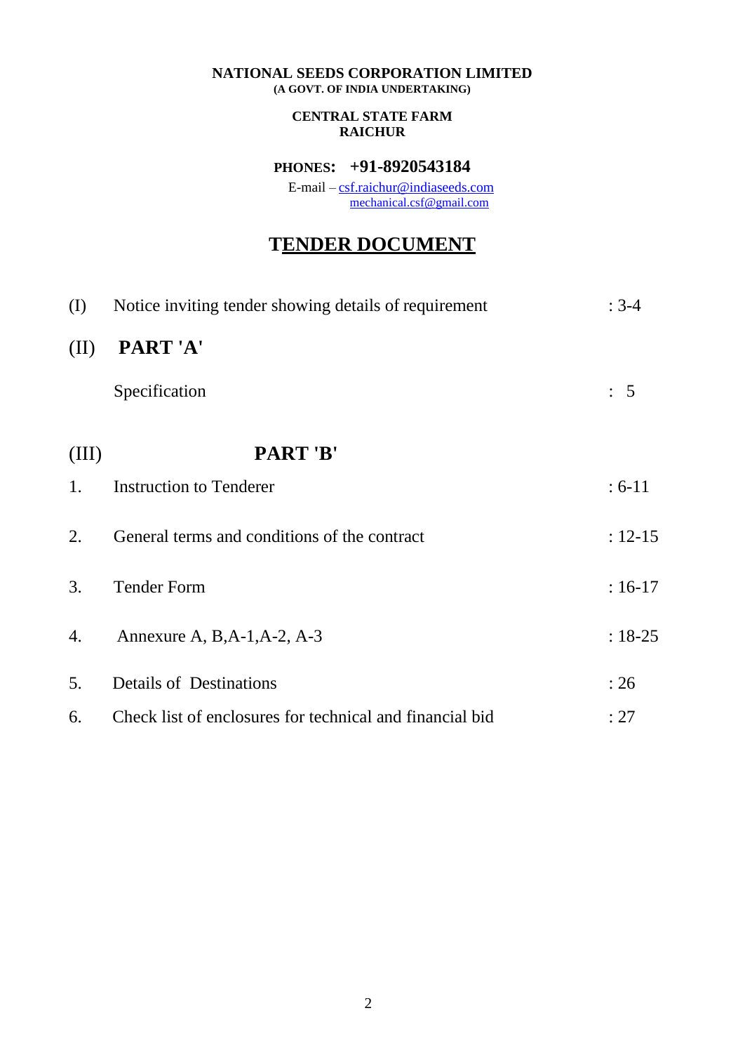#### **NATIONAL SEEDS CORPORATION LIMITED (A GOVT. OF INDIA UNDERTAKING)**

#### **CENTRAL STATE FARM RAICHUR**

### **PHONES: +91-8920543184**

E-mail – [csf.raichur@indiaseeds.com](mailto:csf.raichur@indiaseeds.com) [mechanical.csf@gmail.com](mailto:mechanical.csf@gmail.com)

# **TENDER DOCUMENT**

| (I)   | Notice inviting tender showing details of requirement    | $: 3-4$        |
|-------|----------------------------------------------------------|----------------|
| (II)  | PART'A'                                                  |                |
|       | Specification                                            | $\therefore$ 5 |
| (III) | PART'B'                                                  |                |
| 1.    | <b>Instruction to Tenderer</b>                           | $: 6-11$       |
| 2.    | General terms and conditions of the contract             | $: 12 - 15$    |
| 3.    | <b>Tender Form</b>                                       | $: 16-17$      |
| 4.    | Annexure A, B, A-1, A-2, A-3                             | $: 18 - 25$    |
| 5.    | <b>Details of Destinations</b>                           | : 26           |
| 6.    | Check list of enclosures for technical and financial bid | : 27           |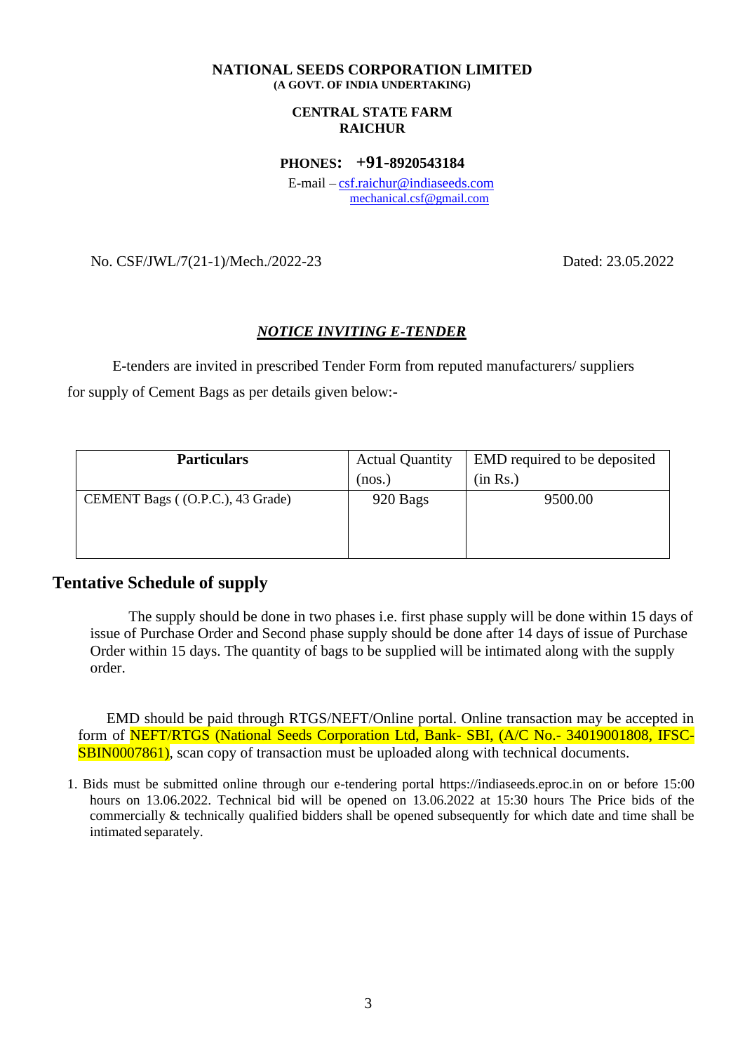#### **NATIONAL SEEDS CORPORATION LIMITED (A GOVT. OF INDIA UNDERTAKING)**

#### **CENTRAL STATE FARM RAICHUR**

**PHONES: +91-8920543184**

E-mail – [csf.raichur@indiaseeds.com](mailto:csf.raichur@indiaseeds.com) [mechanical.csf@gmail.com](mailto:mechanical.csf@gmail.com)

No. CSF/JWL/7(21-1)/Mech./2022-23 Dated: 23.05.2022

#### *NOTICE INVITING E-TENDER*

E-tenders are invited in prescribed Tender Form from reputed manufacturers/ suppliers for supply of Cement Bags as per details given below:-

| <b>Particulars</b>               | <b>Actual Quantity</b> | EMD required to be deposited |
|----------------------------------|------------------------|------------------------------|
|                                  | (nos.)                 | (in Rs.)                     |
| CEMENT Bags ((O.P.C.), 43 Grade) | 920 Bags               | 9500.00                      |
|                                  |                        |                              |
|                                  |                        |                              |
|                                  |                        |                              |

### **Tentative Schedule of supply**

The supply should be done in two phases i.e. first phase supply will be done within 15 days of issue of Purchase Order and Second phase supply should be done after 14 days of issue of Purchase Order within 15 days. The quantity of bags to be supplied will be intimated along with the supply order.

EMD should be paid through RTGS/NEFT/Online portal. Online transaction may be accepted in form of NEFT/RTGS (National Seeds Corporation Ltd, Bank- SBI, (A/C No.- 34019001808, IFSC-SBIN0007861), scan copy of transaction must be uploaded along with technical documents.

1. Bids must be submitted online through our e-tendering portal https://indiaseeds.eproc.in on or before 15:00 hours on 13.06.2022. Technical bid will be opened on 13.06.2022 at 15:30 hours The Price bids of the commercially & technically qualified bidders shall be opened subsequently for which date and time shall be intimated separately.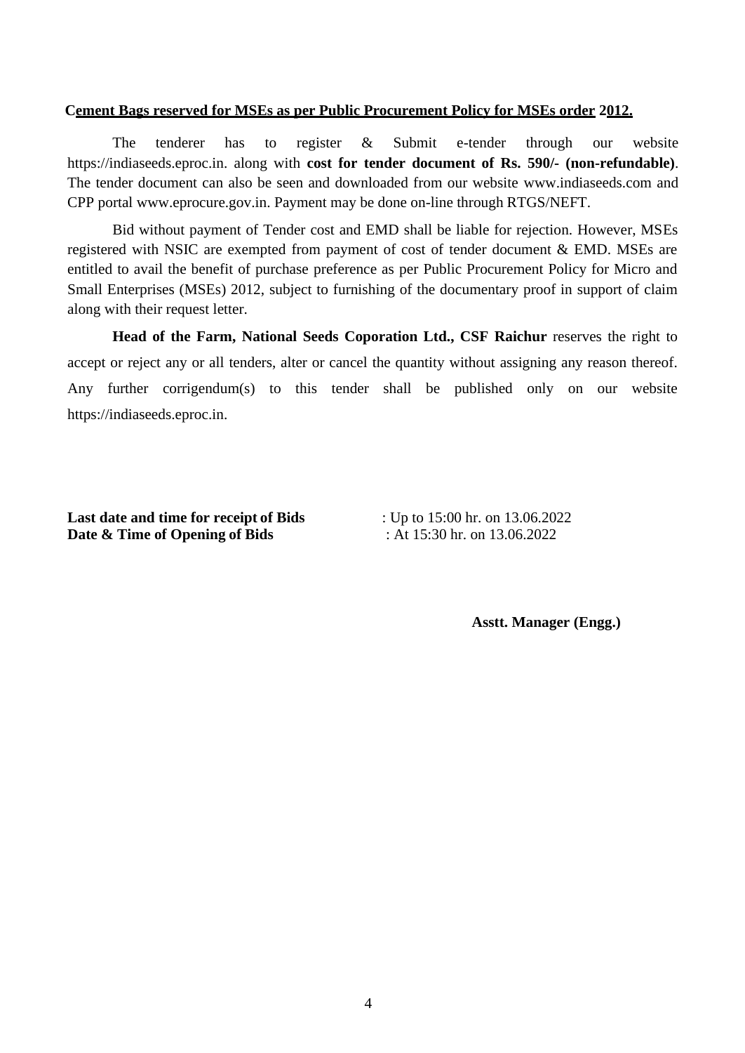#### **Cement Bags reserved for MSEs as per Public Procurement Policy for MSEs order 2012.**

The tenderer has to register & Submit e-tender through our website https://indiaseeds.eproc.in. along with **cost for tender document of Rs. 590/- (non-refundable)**. The tender document can also be seen and downloaded from our website [www.indiaseeds.com a](http://www.indiaseeds.com/)nd CPP portal [www.eprocure.gov.in. P](http://www.eprocure.gov.in/)ayment may be done on-line through RTGS/NEFT.

Bid without payment of Tender cost and EMD shall be liable for rejection. However, MSEs registered with NSIC are exempted from payment of cost of tender document & EMD. MSEs are entitled to avail the benefit of purchase preference as per Public Procurement Policy for Micro and Small Enterprises (MSEs) 2012, subject to furnishing of the documentary proof in support of claim along with their request letter.

**Head of the Farm, National Seeds Coporation Ltd., CSF Raichur** reserves the right to accept or reject any or all tenders, alter or cancel the quantity without assigning any reason thereof. Any further corrigendum(s) to this tender shall be published only on our website https://indiaseeds.eproc.in.

**Last date and time for receipt of Bids** : Up to 15:00 hr. on 13.06.2022 **Date & Time of Opening of Bids** : At 15:30 hr. on 13.06.2022

**Asstt. Manager (Engg.)**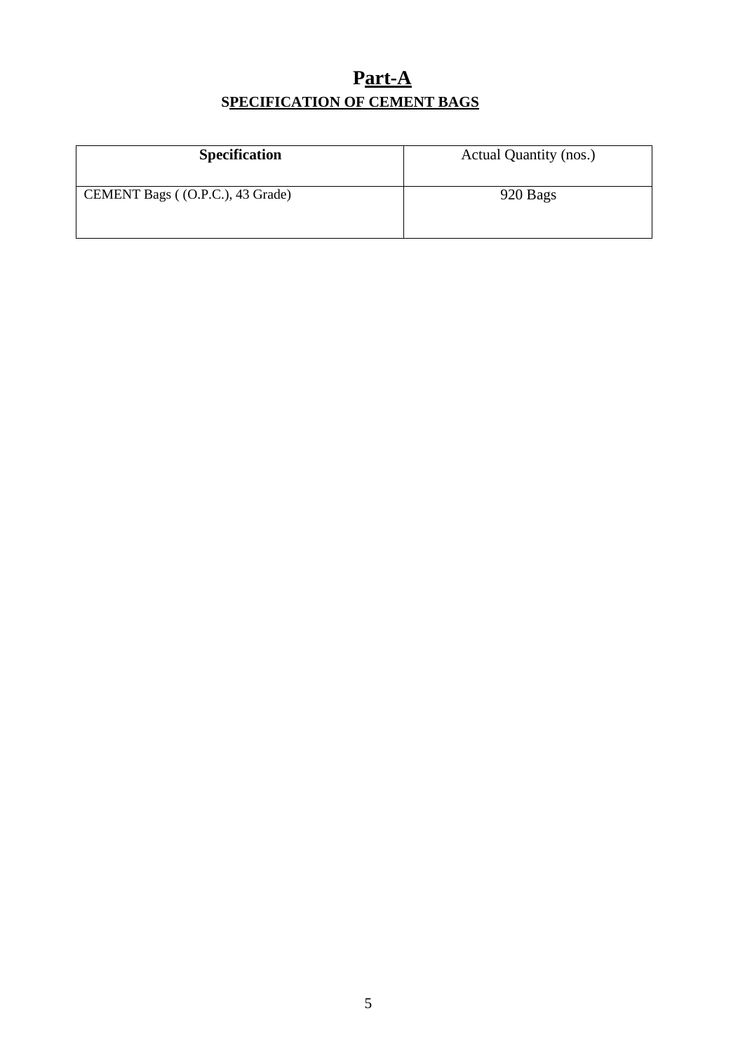# **Part-A SPECIFICATION OF CEMENT BAGS**

| <b>Specification</b>             | Actual Quantity (nos.) |
|----------------------------------|------------------------|
| CEMENT Bags ((O.P.C.), 43 Grade) | 920 Bags               |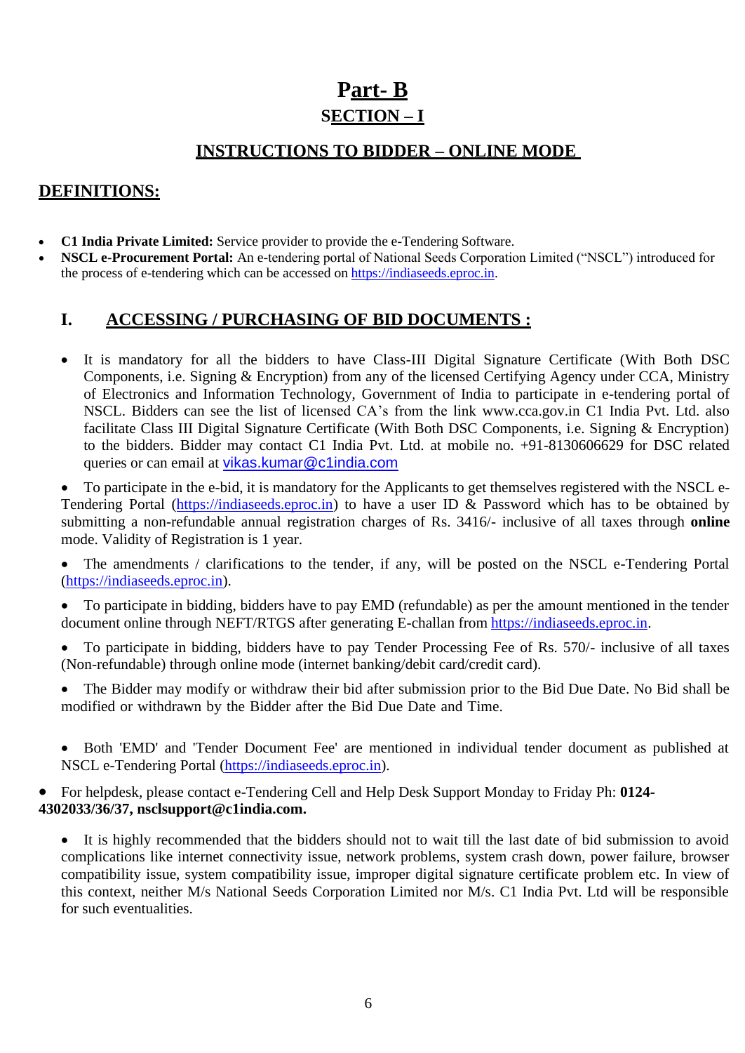# **Part- B SECTION – I**

## **INSTRUCTIONS TO BIDDER – ONLINE MODE**

### **DEFINITIONS:**

- **C1 India Private Limited:** Service provider to provide the e-Tendering Software.
- **NSCL e-Procurement Portal:** An e-tendering portal of National Seeds Corporation Limited ("NSCL") introduced for the process of e-tendering which can be accessed on [https://indiaseeds.eproc.in.](https://indiaseeds.eproc.in/)

### **I. ACCESSING / PURCHASING OF BID DOCUMENTS :**

• It is mandatory for all the bidders to have Class-III Digital Signature Certificate (With Both DSC Components, i.e. Signing & Encryption) from any of the licensed Certifying Agency under CCA, Ministry of Electronics and Information Technology, Government of India to participate in e-tendering portal of NSCL. Bidders can see the list of licensed CA's from the link [www.cca.gov.in](http://www.cca.gov.in/) C1 India Pvt. Ltd. also facilitate Class III Digital Signature Certificate (With Both DSC Components, i.e. Signing & Encryption) to the bidders. Bidder may contact C1 India Pvt. Ltd. at mobile no. +91-8130606629 for DSC related queries or can email at [vikas.kumar@c1india.com](mailto:vikas.kumar@c1india.com)

• To participate in the e-bid, it is mandatory for the Applicants to get themselves registered with the NSCL e-Tendering Portal [\(https://indiaseeds.eproc.in\)](https://indiaseeds.eproc.in/) to have a user ID & Password which has to be obtained by submitting a non-refundable annual registration charges of Rs. 3416/- inclusive of all taxes through **online**  mode. Validity of Registration is 1 year.

• The amendments / clarifications to the tender, if any, will be posted on the NSCL e-Tendering Portal [\(https://indiaseeds.eproc.in\)](https://indiaseeds.eproc.in/).

• To participate in bidding, bidders have to pay EMD (refundable) as per the amount mentioned in the tender document online through NEFT/RTGS after generating E-challan from [https://indiaseeds.eproc.in.](https://indiaseeds.eproc.in/)

• To participate in bidding, bidders have to pay Tender Processing Fee of Rs. 570/- inclusive of all taxes (Non-refundable) through online mode (internet banking/debit card/credit card).

The Bidder may modify or withdraw their bid after submission prior to the Bid Due Date. No Bid shall be modified or withdrawn by the Bidder after the Bid Due Date and Time.

• Both 'EMD' and 'Tender Document Fee' are mentioned in individual tender document as published at NSCL e-Tendering Portal [\(https://indiaseeds.eproc.in\)](https://indiaseeds.eproc.in/).

• For helpdesk, please contact e-Tendering Cell and Help Desk Support Monday to Friday Ph: **0124- 4302033/36/37, [nsclsupport@c1india.com.](mailto:nsclsupport@c1india.com)**

• It is highly recommended that the bidders should not to wait till the last date of bid submission to avoid complications like internet connectivity issue, network problems, system crash down, power failure, browser compatibility issue, system compatibility issue, improper digital signature certificate problem etc. In view of this context, neither M/s National Seeds Corporation Limited nor M/s. C1 India Pvt. Ltd will be responsible for such eventualities.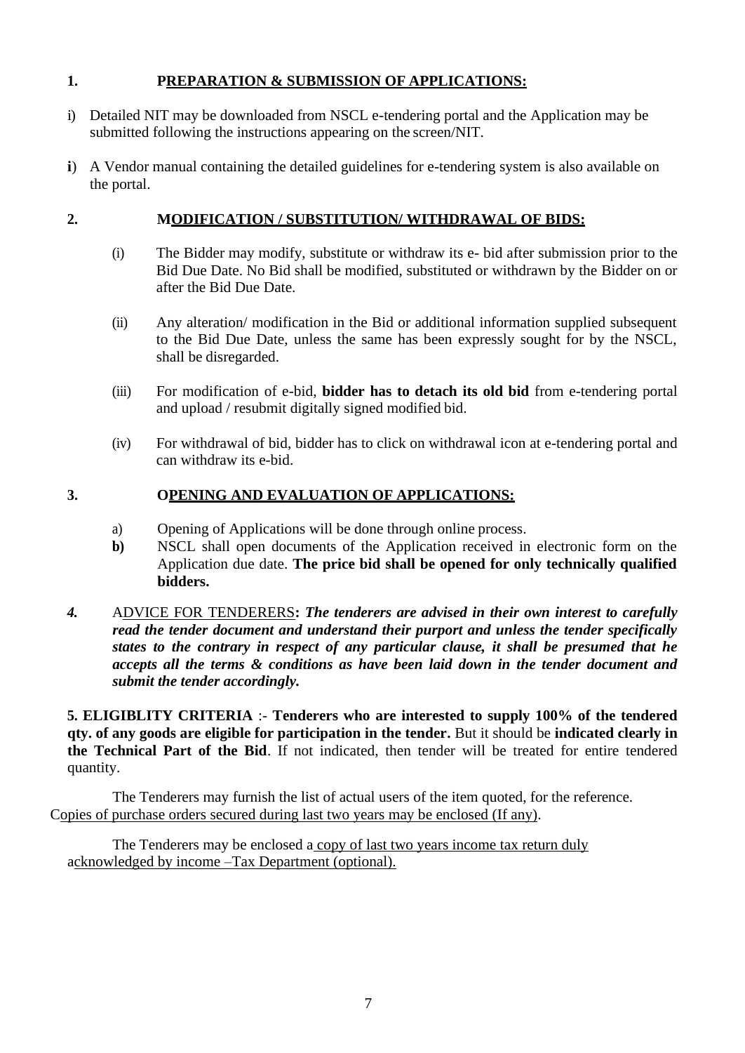### **1. PREPARATION & SUBMISSION OF APPLICATIONS:**

- i) Detailed NIT may be downloaded from NSCL e-tendering portal and the Application may be submitted following the instructions appearing on the screen/NIT.
- **i**) A Vendor manual containing the detailed guidelines for e-tendering system is also available on the portal.

### **2. MODIFICATION / SUBSTITUTION/ WITHDRAWAL OF BIDS:**

- (i) The Bidder may modify, substitute or withdraw its e- bid after submission prior to the Bid Due Date. No Bid shall be modified, substituted or withdrawn by the Bidder on or after the Bid Due Date.
- (ii) Any alteration/ modification in the Bid or additional information supplied subsequent to the Bid Due Date, unless the same has been expressly sought for by the NSCL, shall be disregarded.
- (iii) For modification of e-bid, **bidder has to detach its old bid** from e-tendering portal and upload / resubmit digitally signed modified bid.
- (iv) For withdrawal of bid, bidder has to click on withdrawal icon at e-tendering portal and can withdraw its e-bid.

### **3. OPENING AND EVALUATION OF APPLICATIONS:**

- a) Opening of Applications will be done through online process.
- **b)** NSCL shall open documents of the Application received in electronic form on the Application due date. **The price bid shall be opened for only technically qualified bidders.**
- *4.* ADVICE FOR TENDERERS**:** *The tenderers are advised in their own interest to carefully read the tender document and understand their purport and unless the tender specifically states to the contrary in respect of any particular clause, it shall be presumed that he accepts all the terms & conditions as have been laid down in the tender document and submit the tender accordingly.*

**5. ELIGIBLITY CRITERIA** :- **Tenderers who are interested to supply 100% of the tendered qty. of any goods are eligible for participation in the tender.** But it should be **indicated clearly in the Technical Part of the Bid**. If not indicated, then tender will be treated for entire tendered quantity.

The Tenderers may furnish the list of actual users of the item quoted, for the reference. Copies of purchase orders secured during last two years may be enclosed (If any).

The Tenderers may be enclosed a copy of last two years income tax return duly acknowledged by income –Tax Department (optional).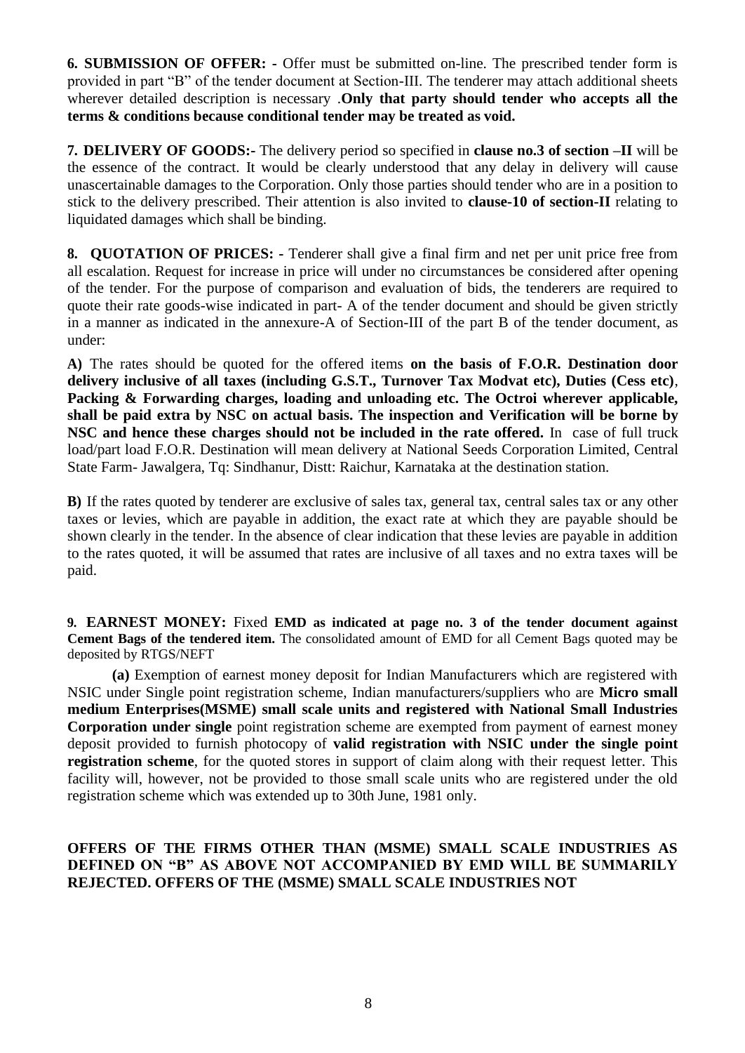**6. SUBMISSION OF OFFER: -** Offer must be submitted on-line. The prescribed tender form is provided in part "B" of the tender document at Section-III. The tenderer may attach additional sheets wherever detailed description is necessary .**Only that party should tender who accepts all the terms & conditions because conditional tender may be treated as void.**

**7. DELIVERY OF GOODS:-** The delivery period so specified in **clause no.3 of section –II** will be the essence of the contract. It would be clearly understood that any delay in delivery will cause unascertainable damages to the Corporation. Only those parties should tender who are in a position to stick to the delivery prescribed. Their attention is also invited to **clause-10 of section-II** relating to liquidated damages which shall be binding.

**8. QUOTATION OF PRICES: -** Tenderer shall give a final firm and net per unit price free from all escalation. Request for increase in price will under no circumstances be considered after opening of the tender. For the purpose of comparison and evaluation of bids, the tenderers are required to quote their rate goods-wise indicated in part- A of the tender document and should be given strictly in a manner as indicated in the annexure-A of Section-III of the part B of the tender document, as under:

**A)** The rates should be quoted for the offered items **on the basis of F.O.R. Destination door delivery inclusive of all taxes (including G.S.T., Turnover Tax Modvat etc), Duties (Cess etc)**, **Packing & Forwarding charges, loading and unloading etc. The Octroi wherever applicable, shall be paid extra by NSC on actual basis. The inspection and Verification will be borne by NSC and hence these charges should not be included in the rate offered.** In case of full truck load/part load F.O.R. Destination will mean delivery at National Seeds Corporation Limited, Central State Farm- Jawalgera, Tq: Sindhanur, Distt: Raichur, Karnataka at the destination station.

**B)** If the rates quoted by tenderer are exclusive of sales tax, general tax, central sales tax or any other taxes or levies, which are payable in addition, the exact rate at which they are payable should be shown clearly in the tender. In the absence of clear indication that these levies are payable in addition to the rates quoted, it will be assumed that rates are inclusive of all taxes and no extra taxes will be paid.

**9. EARNEST MONEY:** Fixed **EMD as indicated at page no. 3 of the tender document against Cement Bags of the tendered item.** The consolidated amount of EMD for all Cement Bags quoted may be deposited by RTGS/NEFT

**(a)** Exemption of earnest money deposit for Indian Manufacturers which are registered with NSIC under Single point registration scheme, Indian manufacturers/suppliers who are **Micro small medium Enterprises(MSME) small scale units and registered with National Small Industries Corporation under single** point registration scheme are exempted from payment of earnest money deposit provided to furnish photocopy of **valid registration with NSIC under the single point registration scheme**, for the quoted stores in support of claim along with their request letter. This facility will, however, not be provided to those small scale units who are registered under the old registration scheme which was extended up to 30th June, 1981 only.

#### **OFFERS OF THE FIRMS OTHER THAN (MSME) SMALL SCALE INDUSTRIES AS DEFINED ON "B" AS ABOVE NOT ACCOMPANIED BY EMD WILL BE SUMMARILY REJECTED. OFFERS OF THE (MSME) SMALL SCALE INDUSTRIES NOT**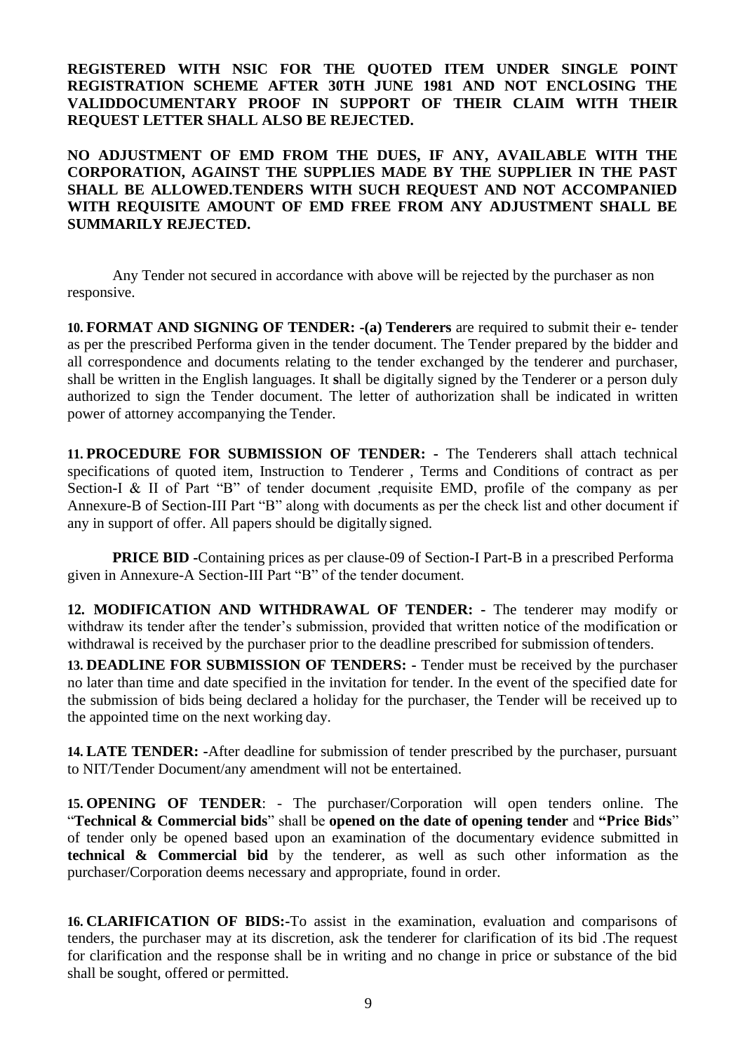**REGISTERED WITH NSIC FOR THE QUOTED ITEM UNDER SINGLE POINT REGISTRATION SCHEME AFTER 30TH JUNE 1981 AND NOT ENCLOSING THE VALIDDOCUMENTARY PROOF IN SUPPORT OF THEIR CLAIM WITH THEIR REQUEST LETTER SHALL ALSO BE REJECTED.**

**NO ADJUSTMENT OF EMD FROM THE DUES, IF ANY, AVAILABLE WITH THE CORPORATION, AGAINST THE SUPPLIES MADE BY THE SUPPLIER IN THE PAST SHALL BE ALLOWED.TENDERS WITH SUCH REQUEST AND NOT ACCOMPANIED WITH REQUISITE AMOUNT OF EMD FREE FROM ANY ADJUSTMENT SHALL BE SUMMARILY REJECTED.**

Any Tender not secured in accordance with above will be rejected by the purchaser as non responsive.

**10. FORMAT AND SIGNING OF TENDER: -(a) Tenderers** are required to submit their e- tender as per the prescribed Performa given in the tender document. The Tender prepared by the bidder and all correspondence and documents relating to the tender exchanged by the tenderer and purchaser, shall be written in the English languages. It **s**hall be digitally signed by the Tenderer or a person duly authorized to sign the Tender document. The letter of authorization shall be indicated in written power of attorney accompanying the Tender.

**11. PROCEDURE FOR SUBMISSION OF TENDER: -** The Tenderers shall attach technical specifications of quoted item, Instruction to Tenderer , Terms and Conditions of contract as per Section-I & II of Part "B" of tender document ,requisite EMD, profile of the company as per Annexure-B of Section-III Part "B" along with documents as per the check list and other document if any in support of offer. All papers should be digitally signed.

**PRICE BID -**Containing prices as per clause-09 of Section-I Part-B in a prescribed Performa given in Annexure-A Section-III Part "B" of the tender document.

**12. MODIFICATION AND WITHDRAWAL OF TENDER: -** The tenderer may modify or withdraw its tender after the tender's submission, provided that written notice of the modification or withdrawal is received by the purchaser prior to the deadline prescribed for submission oftenders.

**13. DEADLINE FOR SUBMISSION OF TENDERS: -** Tender must be received by the purchaser no later than time and date specified in the invitation for tender. In the event of the specified date for the submission of bids being declared a holiday for the purchaser, the Tender will be received up to the appointed time on the next working day.

**14. LATE TENDER: -**After deadline for submission of tender prescribed by the purchaser, pursuant to NIT/Tender Document/any amendment will not be entertained.

**15. OPENING OF TENDER**: - The purchaser/Corporation will open tenders online. The "**Technical & Commercial bids**" shall be **opened on the date of opening tender** and **"Price Bids**" of tender only be opened based upon an examination of the documentary evidence submitted in **technical & Commercial bid** by the tenderer, as well as such other information as the purchaser/Corporation deems necessary and appropriate, found in order.

**16. CLARIFICATION OF BIDS:-**To assist in the examination, evaluation and comparisons of tenders, the purchaser may at its discretion, ask the tenderer for clarification of its bid .The request for clarification and the response shall be in writing and no change in price or substance of the bid shall be sought, offered or permitted.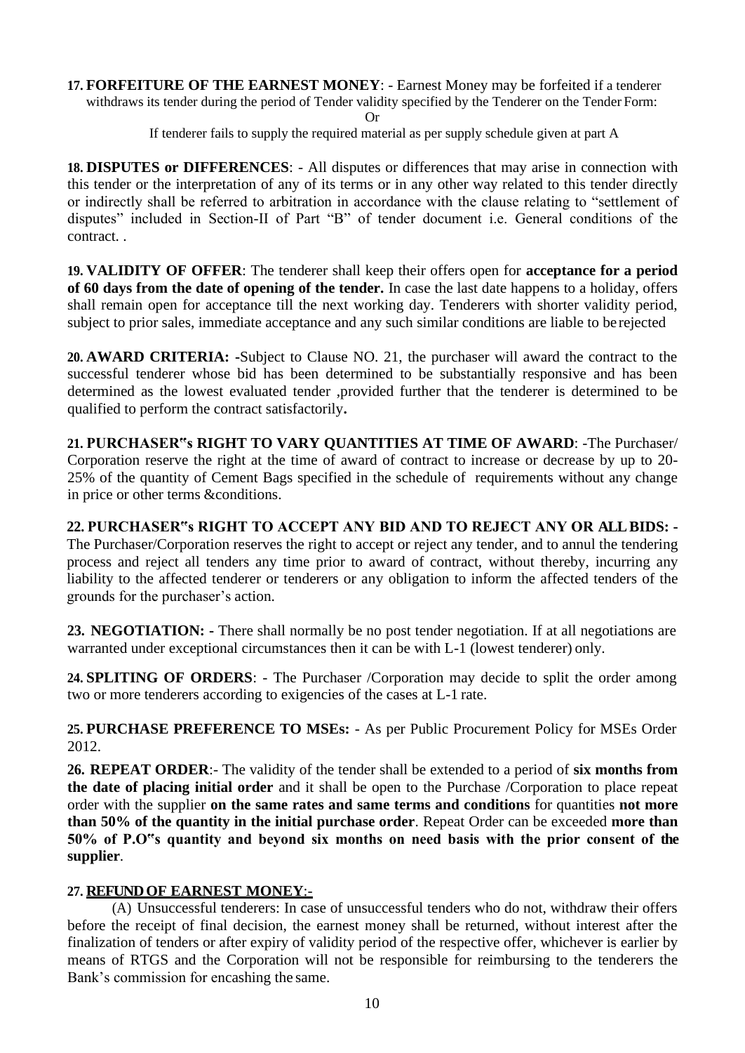**17. FORFEITURE OF THE EARNEST MONEY**: - Earnest Money may be forfeited if a tenderer withdraws its tender during the period of Tender validity specified by the Tenderer on the Tender Form: Or

If tenderer fails to supply the required material as per supply schedule given at part A

**18. DISPUTES or DIFFERENCES**: - All disputes or differences that may arise in connection with this tender or the interpretation of any of its terms or in any other way related to this tender directly or indirectly shall be referred to arbitration in accordance with the clause relating to "settlement of disputes" included in Section-II of Part "B" of tender document i.e. General conditions of the contract. .

**19. VALIDITY OF OFFER**: The tenderer shall keep their offers open for **acceptance for a period of 60 days from the date of opening of the tender.** In case the last date happens to a holiday, offers shall remain open for acceptance till the next working day. Tenderers with shorter validity period, subject to prior sales, immediate acceptance and any such similar conditions are liable to be rejected

**20. AWARD CRITERIA: -**Subject to Clause NO. 21, the purchaser will award the contract to the successful tenderer whose bid has been determined to be substantially responsive and has been determined as the lowest evaluated tender ,provided further that the tenderer is determined to be qualified to perform the contract satisfactorily**.**

**21. PURCHASER"s RIGHT TO VARY QUANTITIES AT TIME OF AWARD**: -The Purchaser/ Corporation reserve the right at the time of award of contract to increase or decrease by up to 20- 25% of the quantity of Cement Bags specified in the schedule of requirements without any change in price or other terms &conditions.

**22. PURCHASER"s RIGHT TO ACCEPT ANY BID AND TO REJECT ANY OR ALL BIDS: -** The Purchaser/Corporation reserves the right to accept or reject any tender, and to annul the tendering process and reject all tenders any time prior to award of contract, without thereby, incurring any liability to the affected tenderer or tenderers or any obligation to inform the affected tenders of the grounds for the purchaser's action.

**23. NEGOTIATION: -** There shall normally be no post tender negotiation. If at all negotiations are warranted under exceptional circumstances then it can be with L-1 (lowest tenderer) only.

**24. SPLITING OF ORDERS**: - The Purchaser /Corporation may decide to split the order among two or more tenderers according to exigencies of the cases at L-1 rate.

**25. PURCHASE PREFERENCE TO MSEs:** - As per Public Procurement Policy for MSEs Order 2012.

**26. REPEAT ORDER**:- The validity of the tender shall be extended to a period of **six months from the date of placing initial order** and it shall be open to the Purchase /Corporation to place repeat order with the supplier **on the same rates and same terms and conditions** for quantities **not more than 50% of the quantity in the initial purchase order**. Repeat Order can be exceeded **more than 50% of P.O"s quantity and beyond six months on need basis with the prior consent of the supplier**.

### **27. REFUND OF EARNEST MONEY**:-

(A) Unsuccessful tenderers: In case of unsuccessful tenders who do not, withdraw their offers before the receipt of final decision, the earnest money shall be returned, without interest after the finalization of tenders or after expiry of validity period of the respective offer, whichever is earlier by means of RTGS and the Corporation will not be responsible for reimbursing to the tenderers the Bank's commission for encashing the same.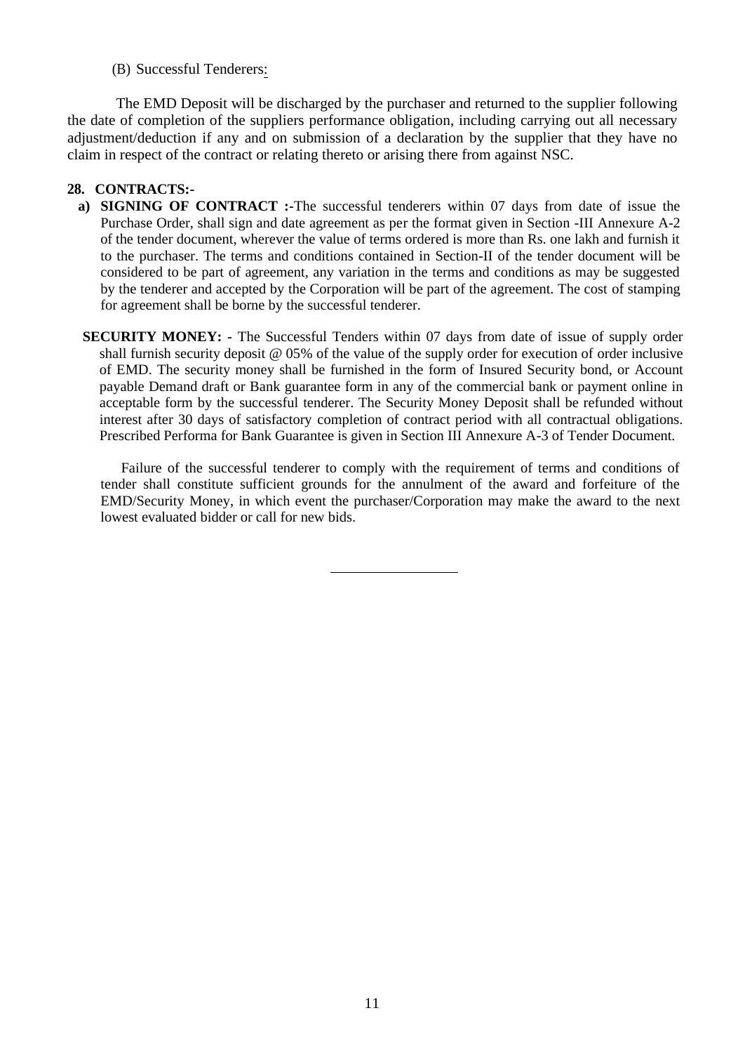(B) Successful Tenderers:

The EMD Deposit will be discharged by the purchaser and returned to the supplier following the date of completion of the suppliers performance obligation, including carrying out all necessary adjustment/deduction if any and on submission of a declaration by the supplier that they have no claim in respect of the contract or relating thereto or arising there from against NSC.

#### **28. CONTRACTS:-**

- **a) SIGNING OF CONTRACT :-**The successful tenderers within 07 days from date of issue the Purchase Order, shall sign and date agreement as per the format given in Section -III Annexure A-2 of the tender document, wherever the value of terms ordered is more than Rs. one lakh and furnish it to the purchaser. The terms and conditions contained in Section-II of the tender document will be considered to be part of agreement, any variation in the terms and conditions as may be suggested by the tenderer and accepted by the Corporation will be part of the agreement. The cost of stamping for agreement shall be borne by the successful tenderer.
- **SECURITY MONEY: -** The Successful Tenders within 07 days from date of issue of supply order shall furnish security deposit @ 05% of the value of the supply order for execution of order inclusive of EMD. The security money shall be furnished in the form of Insured Security bond, or Account payable Demand draft or Bank guarantee form in any of the commercial bank or payment online in acceptable form by the successful tenderer. The Security Money Deposit shall be refunded without interest after 30 days of satisfactory completion of contract period with all contractual obligations. Prescribed Performa for Bank Guarantee is given in Section III Annexure A-3 of Tender Document.

Failure of the successful tenderer to comply with the requirement of terms and conditions of tender shall constitute sufficient grounds for the annulment of the award and forfeiture of the EMD/Security Money, in which event the purchaser/Corporation may make the award to the next lowest evaluated bidder or call for new bids.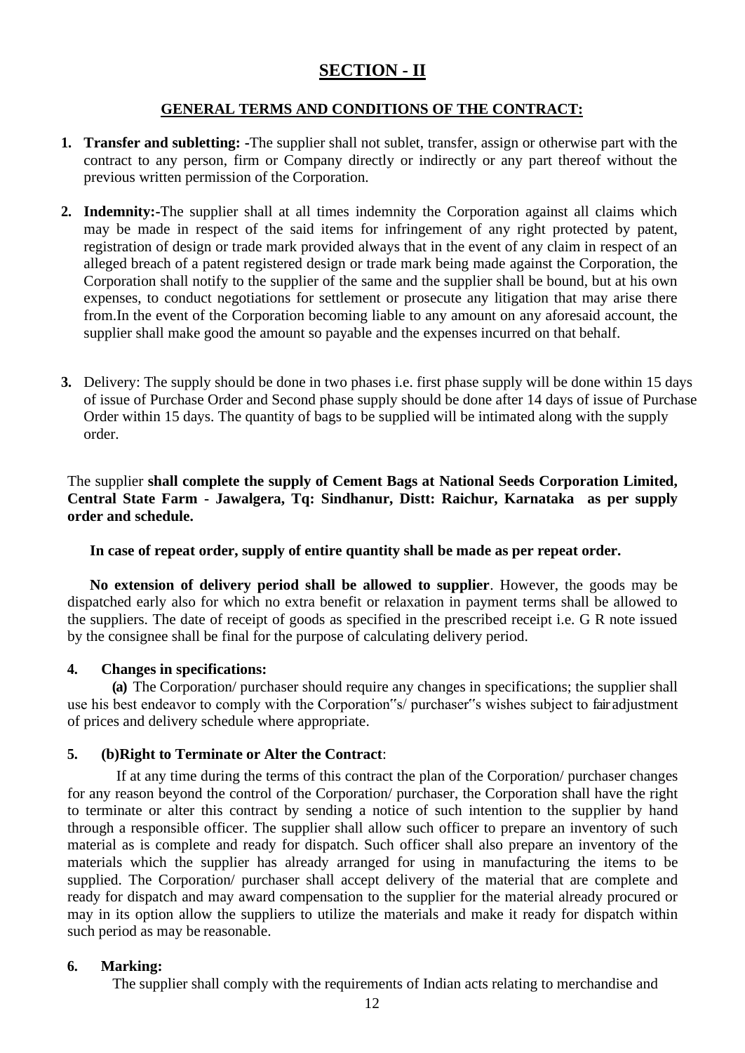## **SECTION - II**

#### **GENERAL TERMS AND CONDITIONS OF THE CONTRACT:**

- **1. Transfer and subletting: -**The supplier shall not sublet, transfer, assign or otherwise part with the contract to any person, firm or Company directly or indirectly or any part thereof without the previous written permission of the Corporation.
- **2. Indemnity:-**The supplier shall at all times indemnity the Corporation against all claims which may be made in respect of the said items for infringement of any right protected by patent, registration of design or trade mark provided always that in the event of any claim in respect of an alleged breach of a patent registered design or trade mark being made against the Corporation, the Corporation shall notify to the supplier of the same and the supplier shall be bound, but at his own expenses, to conduct negotiations for settlement or prosecute any litigation that may arise there from.In the event of the Corporation becoming liable to any amount on any aforesaid account, the supplier shall make good the amount so payable and the expenses incurred on that behalf.
- **3.** Delivery: The supply should be done in two phases i.e. first phase supply will be done within 15 days of issue of Purchase Order and Second phase supply should be done after 14 days of issue of Purchase Order within 15 days. The quantity of bags to be supplied will be intimated along with the supply order.

The supplier **shall complete the supply of Cement Bags at National Seeds Corporation Limited, Central State Farm - Jawalgera, Tq: Sindhanur, Distt: Raichur, Karnataka as per supply order and schedule.**

**In case of repeat order, supply of entire quantity shall be made as per repeat order.**

**No extension of delivery period shall be allowed to supplier**. However, the goods may be dispatched early also for which no extra benefit or relaxation in payment terms shall be allowed to the suppliers. The date of receipt of goods as specified in the prescribed receipt i.e. G R note issued by the consignee shall be final for the purpose of calculating delivery period.

#### **4. Changes in specifications:**

**(a)** The Corporation/ purchaser should require any changes in specifications; the supplier shall use his best endeavor to comply with the Corporation"s/ purchaser"s wishes subject to fair adjustment of prices and delivery schedule where appropriate.

#### **5. (b)Right to Terminate or Alter the Contract**:

If at any time during the terms of this contract the plan of the Corporation/ purchaser changes for any reason beyond the control of the Corporation/ purchaser, the Corporation shall have the right to terminate or alter this contract by sending a notice of such intention to the supplier by hand through a responsible officer. The supplier shall allow such officer to prepare an inventory of such material as is complete and ready for dispatch. Such officer shall also prepare an inventory of the materials which the supplier has already arranged for using in manufacturing the items to be supplied. The Corporation/ purchaser shall accept delivery of the material that are complete and ready for dispatch and may award compensation to the supplier for the material already procured or may in its option allow the suppliers to utilize the materials and make it ready for dispatch within such period as may be reasonable.

#### **6. Marking:**

The supplier shall comply with the requirements of Indian acts relating to merchandise and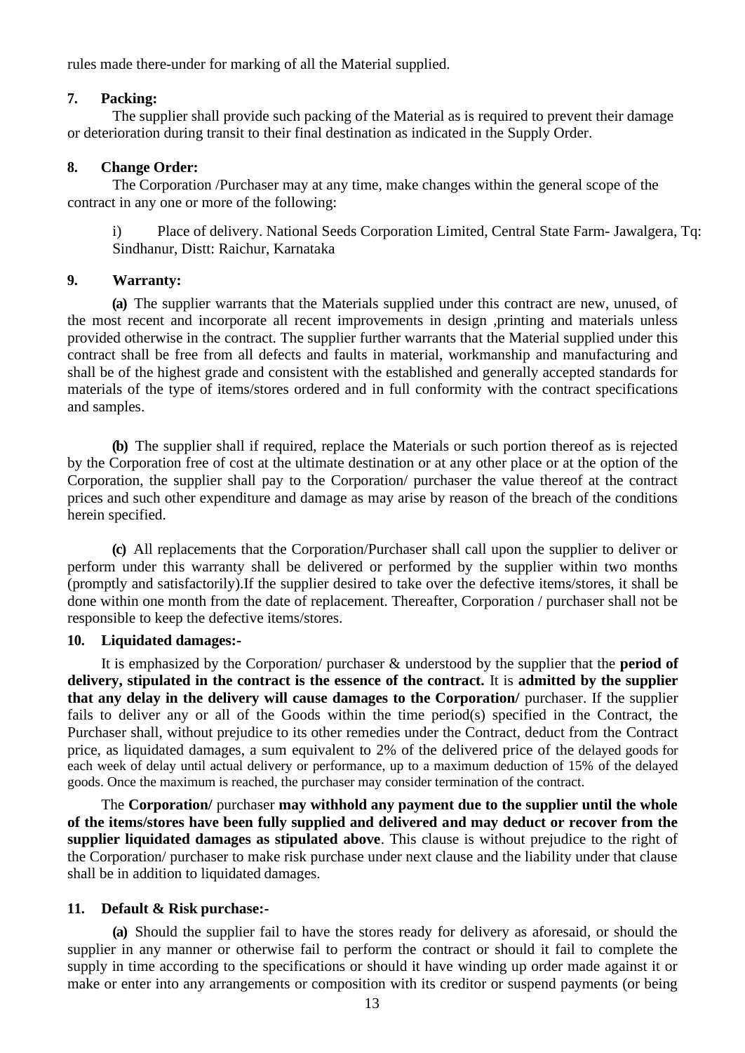rules made there-under for marking of all the Material supplied.

#### **7. Packing:**

The supplier shall provide such packing of the Material as is required to prevent their damage or deterioration during transit to their final destination as indicated in the Supply Order.

### **8. Change Order:**

The Corporation /Purchaser may at any time, make changes within the general scope of the contract in any one or more of the following:

i) Place of delivery. National Seeds Corporation Limited, Central State Farm- Jawalgera, Tq: Sindhanur, Distt: Raichur, Karnataka

#### **9. Warranty:**

**(a)** The supplier warrants that the Materials supplied under this contract are new, unused, of the most recent and incorporate all recent improvements in design ,printing and materials unless provided otherwise in the contract. The supplier further warrants that the Material supplied under this contract shall be free from all defects and faults in material, workmanship and manufacturing and shall be of the highest grade and consistent with the established and generally accepted standards for materials of the type of items/stores ordered and in full conformity with the contract specifications and samples.

**(b)** The supplier shall if required, replace the Materials or such portion thereof as is rejected by the Corporation free of cost at the ultimate destination or at any other place or at the option of the Corporation, the supplier shall pay to the Corporation/ purchaser the value thereof at the contract prices and such other expenditure and damage as may arise by reason of the breach of the conditions herein specified.

**(c)** All replacements that the Corporation/Purchaser shall call upon the supplier to deliver or perform under this warranty shall be delivered or performed by the supplier within two months (promptly and satisfactorily).If the supplier desired to take over the defective items/stores, it shall be done within one month from the date of replacement. Thereafter, Corporation / purchaser shall not be responsible to keep the defective items/stores.

### **10. Liquidated damages:-**

It is emphasized by the Corporation/ purchaser & understood by the supplier that the **period of delivery, stipulated in the contract is the essence of the contract.** It is **admitted by the supplier that any delay in the delivery will cause damages to the Corporation/** purchaser. If the supplier fails to deliver any or all of the Goods within the time period(s) specified in the Contract, the Purchaser shall, without prejudice to its other remedies under the Contract, deduct from the Contract price, as liquidated damages, a sum equivalent to 2% of the delivered price of the delayed goods for each week of delay until actual delivery or performance, up to a maximum deduction of 15% of the delayed goods. Once the maximum is reached, the purchaser may consider termination of the contract.

The **Corporation/** purchaser **may withhold any payment due to the supplier until the whole of the items/stores have been fully supplied and delivered and may deduct or recover from the supplier liquidated damages as stipulated above**. This clause is without prejudice to the right of the Corporation/ purchaser to make risk purchase under next clause and the liability under that clause shall be in addition to liquidated damages.

### **11. Default & Risk purchase:-**

**(a)** Should the supplier fail to have the stores ready for delivery as aforesaid, or should the supplier in any manner or otherwise fail to perform the contract or should it fail to complete the supply in time according to the specifications or should it have winding up order made against it or make or enter into any arrangements or composition with its creditor or suspend payments (or being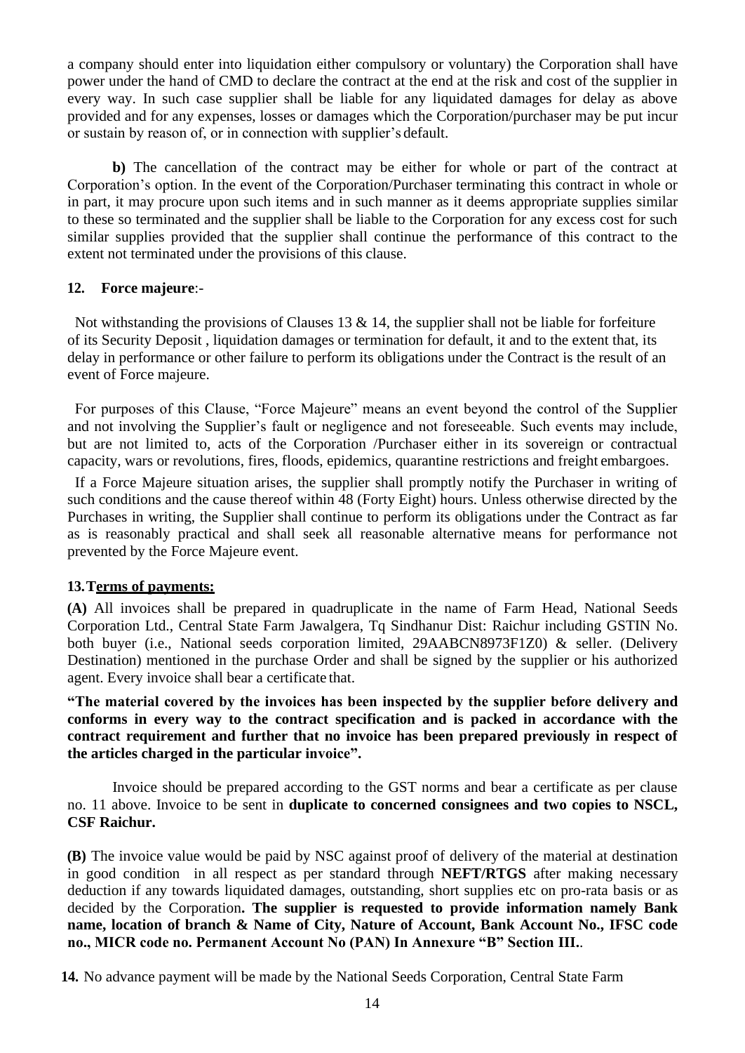a company should enter into liquidation either compulsory or voluntary) the Corporation shall have power under the hand of CMD to declare the contract at the end at the risk and cost of the supplier in every way. In such case supplier shall be liable for any liquidated damages for delay as above provided and for any expenses, losses or damages which the Corporation/purchaser may be put incur or sustain by reason of, or in connection with supplier's default.

**b)** The cancellation of the contract may be either for whole or part of the contract at Corporation's option. In the event of the Corporation/Purchaser terminating this contract in whole or in part, it may procure upon such items and in such manner as it deems appropriate supplies similar to these so terminated and the supplier shall be liable to the Corporation for any excess cost for such similar supplies provided that the supplier shall continue the performance of this contract to the extent not terminated under the provisions of this clause.

#### **12. Force majeure**:-

Not withstanding the provisions of Clauses 13  $\&$  14, the supplier shall not be liable for forfeiture of its Security Deposit , liquidation damages or termination for default, it and to the extent that, its delay in performance or other failure to perform its obligations under the Contract is the result of an event of Force majeure.

For purposes of this Clause, "Force Majeure" means an event beyond the control of the Supplier and not involving the Supplier's fault or negligence and not foreseeable. Such events may include, but are not limited to, acts of the Corporation /Purchaser either in its sovereign or contractual capacity, wars or revolutions, fires, floods, epidemics, quarantine restrictions and freight embargoes.

If a Force Majeure situation arises, the supplier shall promptly notify the Purchaser in writing of such conditions and the cause thereof within 48 (Forty Eight) hours. Unless otherwise directed by the Purchases in writing, the Supplier shall continue to perform its obligations under the Contract as far as is reasonably practical and shall seek all reasonable alternative means for performance not prevented by the Force Majeure event.

#### **13.Terms of payments:**

**(A)** All invoices shall be prepared in quadruplicate in the name of Farm Head, National Seeds Corporation Ltd., Central State Farm Jawalgera, Tq Sindhanur Dist: Raichur including GSTIN No. both buyer (i.e., National seeds corporation limited, 29AABCN8973F1Z0) & seller. (Delivery Destination) mentioned in the purchase Order and shall be signed by the supplier or his authorized agent. Every invoice shall bear a certificate that.

**"The material covered by the invoices has been inspected by the supplier before delivery and conforms in every way to the contract specification and is packed in accordance with the contract requirement and further that no invoice has been prepared previously in respect of the articles charged in the particular invoice".**

Invoice should be prepared according to the GST norms and bear a certificate as per clause no. 11 above. Invoice to be sent in **duplicate to concerned consignees and two copies to NSCL, CSF Raichur.**

**(B)** The invoice value would be paid by NSC against proof of delivery of the material at destination in good condition in all respect as per standard through **NEFT/RTGS** after making necessary deduction if any towards liquidated damages, outstanding, short supplies etc on pro-rata basis or as decided by the Corporation**. The supplier is requested to provide information namely Bank name, location of branch & Name of City, Nature of Account, Bank Account No., IFSC code no., MICR code no. Permanent Account No (PAN) In Annexure "B" Section III.**.

**14.** No advance payment will be made by the National Seeds Corporation, Central State Farm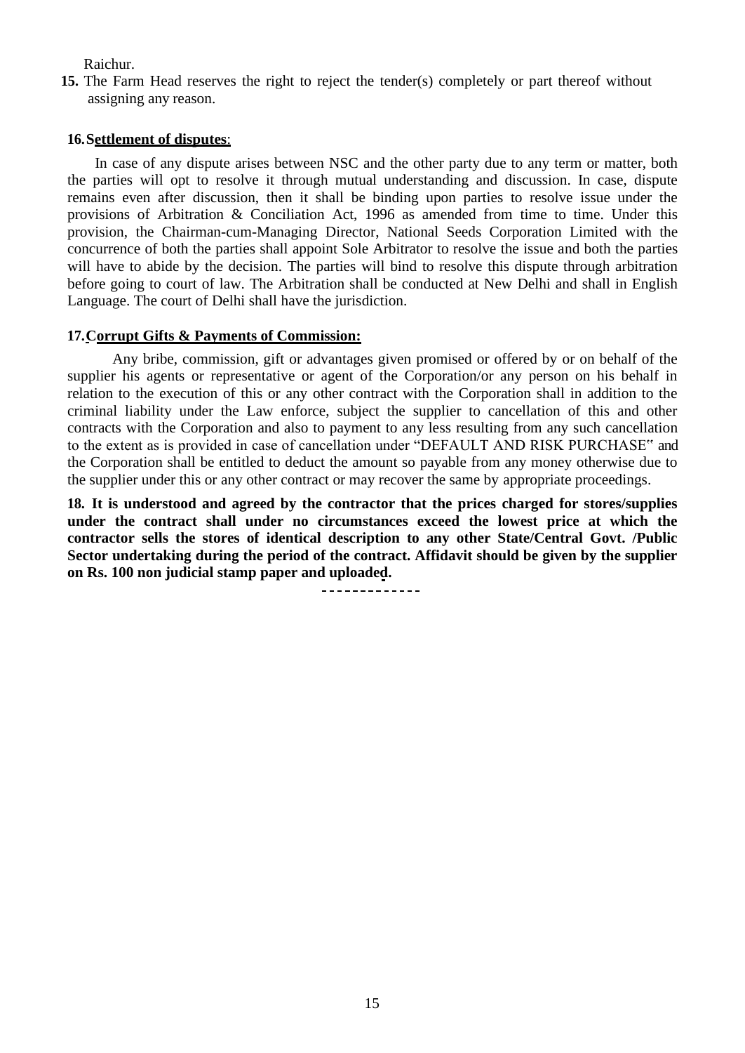Raichur.

**15.** The Farm Head reserves the right to reject the tender(s) completely or part thereof without assigning any reason.

#### **16.Settlement of disputes**:

In case of any dispute arises between NSC and the other party due to any term or matter, both the parties will opt to resolve it through mutual understanding and discussion. In case, dispute remains even after discussion, then it shall be binding upon parties to resolve issue under the provisions of Arbitration & Conciliation Act, 1996 as amended from time to time. Under this provision, the Chairman-cum-Managing Director, National Seeds Corporation Limited with the concurrence of both the parties shall appoint Sole Arbitrator to resolve the issue and both the parties will have to abide by the decision. The parties will bind to resolve this dispute through arbitration before going to court of law. The Arbitration shall be conducted at New Delhi and shall in English Language. The court of Delhi shall have the jurisdiction.

#### **17.Corrupt Gifts & Payments of Commission:**

Any bribe, commission, gift or advantages given promised or offered by or on behalf of the supplier his agents or representative or agent of the Corporation/or any person on his behalf in relation to the execution of this or any other contract with the Corporation shall in addition to the criminal liability under the Law enforce, subject the supplier to cancellation of this and other contracts with the Corporation and also to payment to any less resulting from any such cancellation to the extent as is provided in case of cancellation under "DEFAULT AND RISK PURCHASE" and the Corporation shall be entitled to deduct the amount so payable from any money otherwise due to the supplier under this or any other contract or may recover the same by appropriate proceedings.

**18. It is understood and agreed by the contractor that the prices charged for stores/supplies under the contract shall under no circumstances exceed the lowest price at which the contractor sells the stores of identical description to any other State/Central Govt. /Public Sector undertaking during the period of the contract. Affidavit should be given by the supplier on Rs. 100 non judicial stamp paper and uploaded.**

<u>\_\_\_\_\_\_\_\_\_\_\_\_\_</u>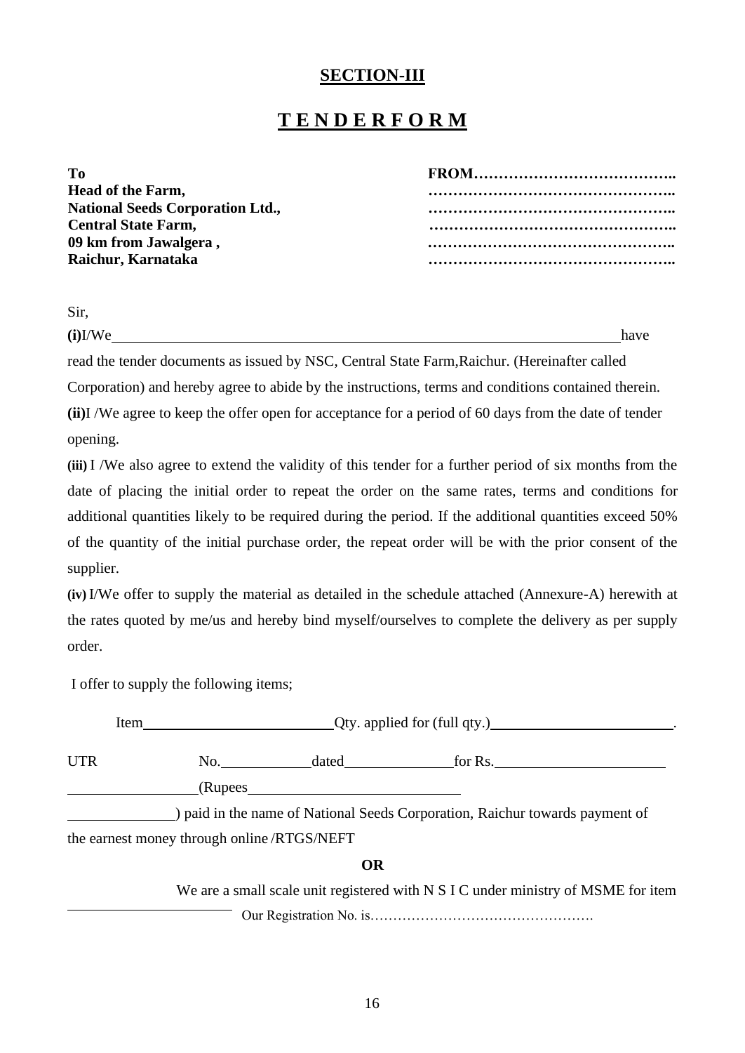### **SECTION-III**

# **T E N D E R F O R M**

| Τо                                      |  |
|-----------------------------------------|--|
| <b>Head of the Farm,</b>                |  |
| <b>National Seeds Corporation Ltd.,</b> |  |
| <b>Central State Farm,</b>              |  |
| 09 km from Jawalgera,                   |  |
| Raichur, Karnataka                      |  |
|                                         |  |

Sir,

**(i)**I/We have

read the tender documents as issued by NSC, Central State Farm,Raichur. (Hereinafter called

Corporation) and hereby agree to abide by the instructions, terms and conditions contained therein.

**(ii)**I /We agree to keep the offer open for acceptance for a period of 60 days from the date of tender opening.

**(iii)** I /We also agree to extend the validity of this tender for a further period of six months from the date of placing the initial order to repeat the order on the same rates, terms and conditions for additional quantities likely to be required during the period. If the additional quantities exceed 50% of the quantity of the initial purchase order, the repeat order will be with the prior consent of the supplier.

**(iv)** I/We offer to supply the material as detailed in the schedule attached (Annexure-A) herewith at the rates quoted by me/us and hereby bind myself/ourselves to complete the delivery as per supply order.

I offer to supply the following items;

| Item       |                                            | $Q$ ty. applied for (full qty.) |                                                                                   |  |
|------------|--------------------------------------------|---------------------------------|-----------------------------------------------------------------------------------|--|
| <b>UTR</b> |                                            | No. dated                       |                                                                                   |  |
|            |                                            |                                 |                                                                                   |  |
|            |                                            |                                 | ) paid in the name of National Seeds Corporation, Raichur towards payment of      |  |
|            | the earnest money through online/RTGS/NEFT |                                 |                                                                                   |  |
|            |                                            | <b>OR</b>                       |                                                                                   |  |
|            |                                            |                                 | We are a small scale unit registered with N S I C under ministry of MSME for item |  |
|            |                                            |                                 |                                                                                   |  |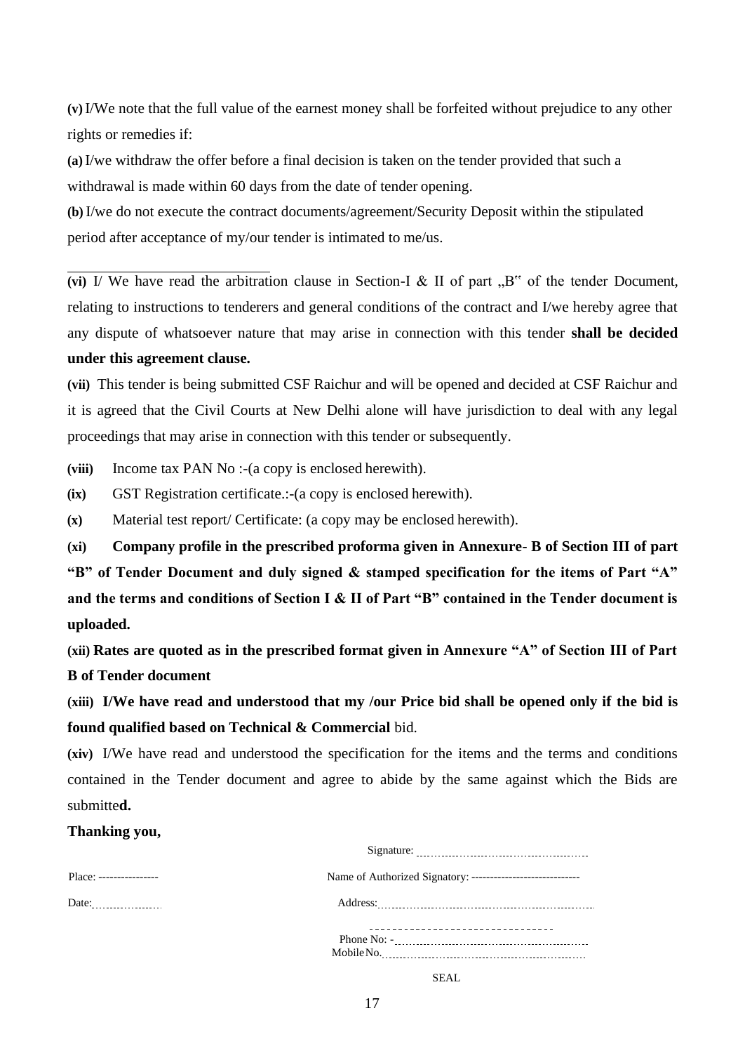**(v)** I/We note that the full value of the earnest money shall be forfeited without prejudice to any other rights or remedies if:

**(a)** I/we withdraw the offer before a final decision is taken on the tender provided that such a withdrawal is made within 60 days from the date of tender opening.

**(b)** I/we do not execute the contract documents/agreement/Security Deposit within the stipulated period after acceptance of my/our tender is intimated to me/us.

(vi) I/ We have read the arbitration clause in Section-I  $\&$  II of part  $\, .B^{\prime\prime}$  of the tender Document, relating to instructions to tenderers and general conditions of the contract and I/we hereby agree that any dispute of whatsoever nature that may arise in connection with this tender **shall be decided under this agreement clause.**

**(vii)** This tender is being submitted CSF Raichur and will be opened and decided at CSF Raichur and it is agreed that the Civil Courts at New Delhi alone will have jurisdiction to deal with any legal proceedings that may arise in connection with this tender or subsequently.

**(viii)** Income tax PAN No :-(a copy is enclosed herewith).

**(ix)** GST Registration certificate.:-(a copy is enclosed herewith).

**(x)** Material test report/ Certificate: (a copy may be enclosed herewith).

**(xi) Company profile in the prescribed proforma given in Annexure- B of Section III of part "B" of Tender Document and duly signed & stamped specification for the items of Part "A" and the terms and conditions of Section I & II of Part "B" contained in the Tender document is uploaded.**

**(xii) Rates are quoted as in the prescribed format given in Annexure "A" of Section III of Part B of Tender document**

**(xiii) I/We have read and understood that my /our Price bid shall be opened only if the bid is found qualified based on Technical & Commercial** bid.

**(xiv)** I/We have read and understood the specification for the items and the terms and conditions contained in the Tender document and agree to abide by the same against which the Bids are submitte**d.**

#### **Thanking you,**

| Place: ---------------- |  |
|-------------------------|--|
| Date: 1990              |  |
|                         |  |
|                         |  |
|                         |  |

SEAL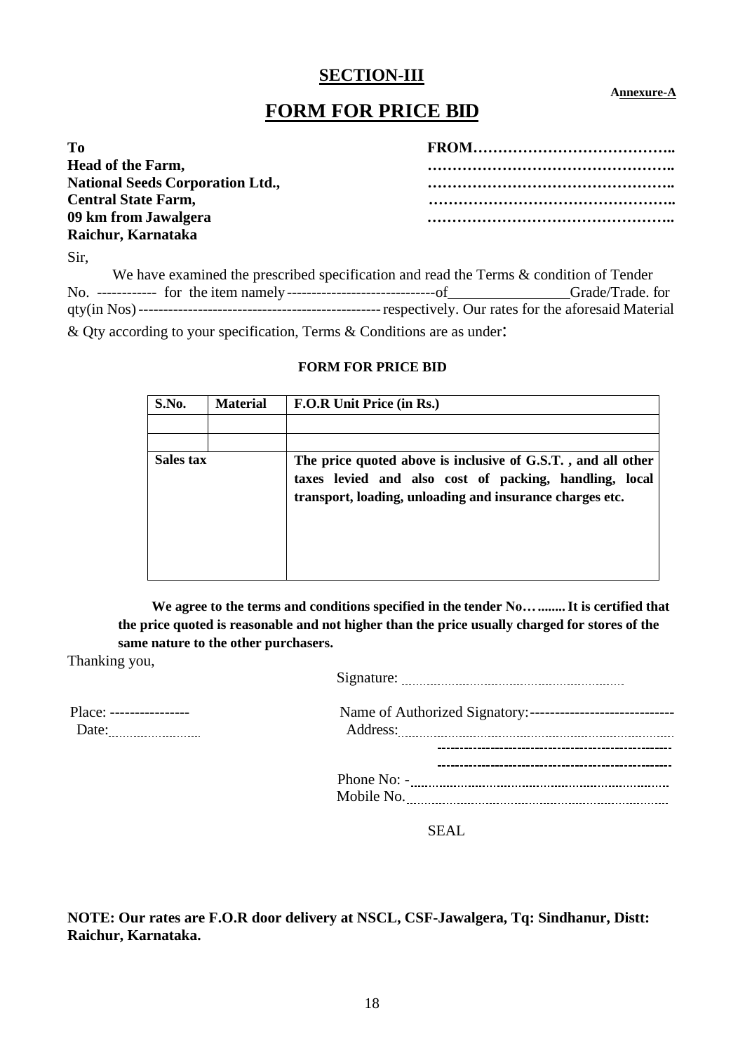### **SECTION-III**

#### **Annexure-A**

## **FORM FOR PRICE BID**

| T <sub>0</sub>                          |  |
|-----------------------------------------|--|
| <b>Head of the Farm,</b>                |  |
| <b>National Seeds Corporation Ltd.,</b> |  |
| <b>Central State Farm,</b>              |  |
| 09 km from Jawalgera                    |  |
| Raichur, Karnataka                      |  |

Sir,

| We have examined the prescribed specification and read the Terms & condition of Tender                     |                  |
|------------------------------------------------------------------------------------------------------------|------------------|
|                                                                                                            | Grade/Trade. for |
|                                                                                                            |                  |
| $\Omega$ Other constitution to consequently interest. The same $\Omega$ Orientational case of the state of |                  |

& Qty according to your specification, Terms & Conditions are as under:

#### **FORM FOR PRICE BID**

| S.No.     | <b>Material</b> | <b>F.O.R Unit Price (in Rs.)</b>                                                                                                                                                   |
|-----------|-----------------|------------------------------------------------------------------------------------------------------------------------------------------------------------------------------------|
|           |                 |                                                                                                                                                                                    |
|           |                 |                                                                                                                                                                                    |
| Sales tax |                 | The price quoted above is inclusive of G.S.T., and all other<br>taxes levied and also cost of packing, handling, local<br>transport, loading, unloading and insurance charges etc. |

**We agree to the terms and conditions specified in the tender No…........It is certified that the price quoted is reasonable and not higher than the price usually charged for stores of the same nature to the other purchasers.**

Thanking you,

|                          | Signature: |  |
|--------------------------|------------|--|
| Place: ----------------- |            |  |
| Date:                    | Address:   |  |

| Phone No: - |  |  |
|-------------|--|--|
| Mobile No.  |  |  |

SEAL

**NOTE: Our rates are F.O.R door delivery at NSCL, CSF-Jawalgera, Tq: Sindhanur, Distt: Raichur, Karnataka.**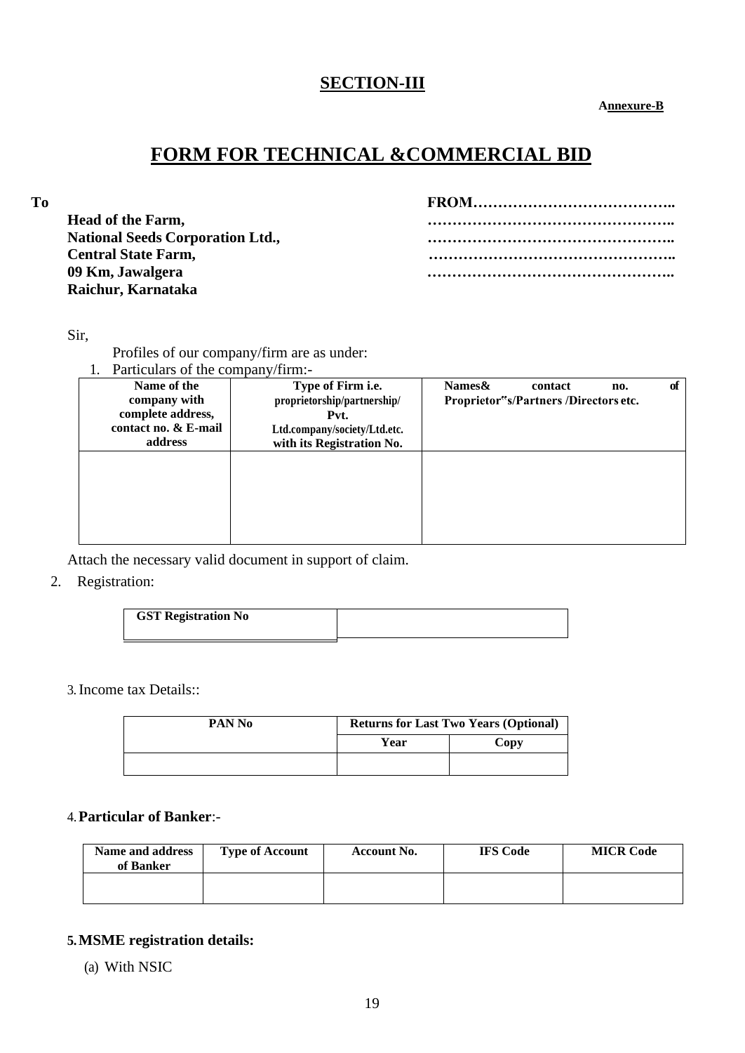## **SECTION-III**

 **Annexure-B**

# **FORM FOR TECHNICAL &COMMERCIAL BID**

| To |                                         |  |
|----|-----------------------------------------|--|
|    | <b>Head of the Farm,</b>                |  |
|    | <b>National Seeds Corporation Ltd.,</b> |  |
|    | <b>Central State Farm,</b>              |  |
|    | 09 Km, Jawalgera                        |  |
|    | Raichur, Karnataka                      |  |
|    |                                         |  |

#### Sir,

Profiles of our company/firm are as under:

| Particulars of the company/firm:- |                              |        |                                      |     |    |
|-----------------------------------|------------------------------|--------|--------------------------------------|-----|----|
| Name of the                       | Type of Firm <i>i.e.</i>     | Names& | contact                              | no. | of |
| company with                      | proprietorship/partnership/  |        | Proprietor"s/Partners/Directors etc. |     |    |
| complete address,                 | Pvt.                         |        |                                      |     |    |
| contact no. & E-mail              | Ltd.company/society/Ltd.etc. |        |                                      |     |    |
| address                           | with its Registration No.    |        |                                      |     |    |
|                                   |                              |        |                                      |     |    |
|                                   |                              |        |                                      |     |    |
|                                   |                              |        |                                      |     |    |
|                                   |                              |        |                                      |     |    |
|                                   |                              |        |                                      |     |    |
|                                   |                              |        |                                      |     |    |
|                                   |                              |        |                                      |     |    |

Attach the necessary valid document in support of claim.

### 2. Registration:

| <b>GST Registration No</b> |  |
|----------------------------|--|
|                            |  |
|                            |  |

### 3.Income tax Details::

| PAN No | <b>Returns for Last Two Years (Optional)</b> |      |  |
|--------|----------------------------------------------|------|--|
|        | Year                                         | Copy |  |
|        |                                              |      |  |

### 4.**Particular of Banker**:-

| Name and address<br>of Banker | <b>Type of Account</b> | <b>Account No.</b> | <b>IFS Code</b> | <b>MICR Code</b> |
|-------------------------------|------------------------|--------------------|-----------------|------------------|
|                               |                        |                    |                 |                  |

### **5.MSME registration details:**

(a) With NSIC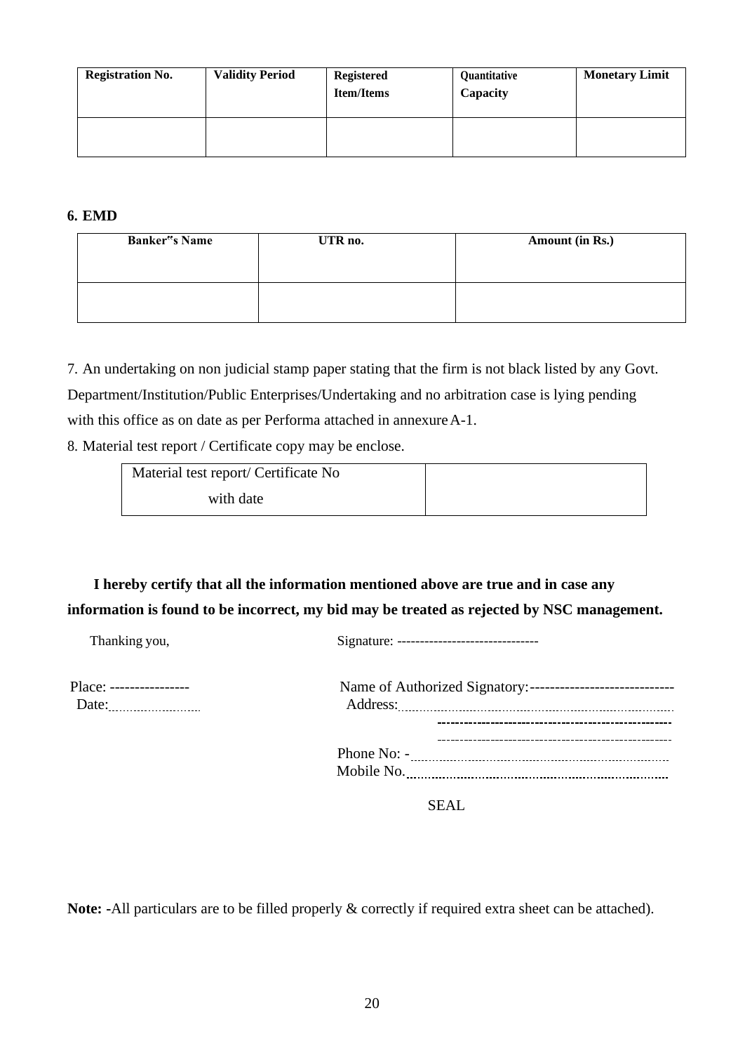| <b>Registration No.</b> | <b>Validity Period</b> | <b>Registered</b><br><b>Item/Items</b> | Quantitative<br>Capacity | <b>Monetary Limit</b> |
|-------------------------|------------------------|----------------------------------------|--------------------------|-----------------------|
|                         |                        |                                        |                          |                       |

#### **6. EMD**

| <b>Banker</b> <sup>"</sup> s Name | UTR no. | Amount (in Rs.) |
|-----------------------------------|---------|-----------------|
|                                   |         |                 |

7. An undertaking on non judicial stamp paper stating that the firm is not black listed by any Govt.

Department/Institution/Public Enterprises/Undertaking and no arbitration case is lying pending

with this office as on date as per Performa attached in annexure A-1.

8. Material test report / Certificate copy may be enclose.

| Material test report/ Certificate No |  |
|--------------------------------------|--|
| with date                            |  |

# **I hereby certify that all the information mentioned above are true and in case any information is found to be incorrect, my bid may be treated as rejected by NSC management.**

Thanking you, Signature: -------------------------------

| Place: ----------------- | Name of  |
|--------------------------|----------|
| Date:                    | Address: |
|                          |          |

| Place: ---------------- |               |  |
|-------------------------|---------------|--|
| Date:                   | Address:      |  |
|                         |               |  |
|                         |               |  |
|                         | Phone $No: -$ |  |
|                         | Mobile No.    |  |

SEAL

**Note: -**All particulars are to be filled properly & correctly if required extra sheet can be attached).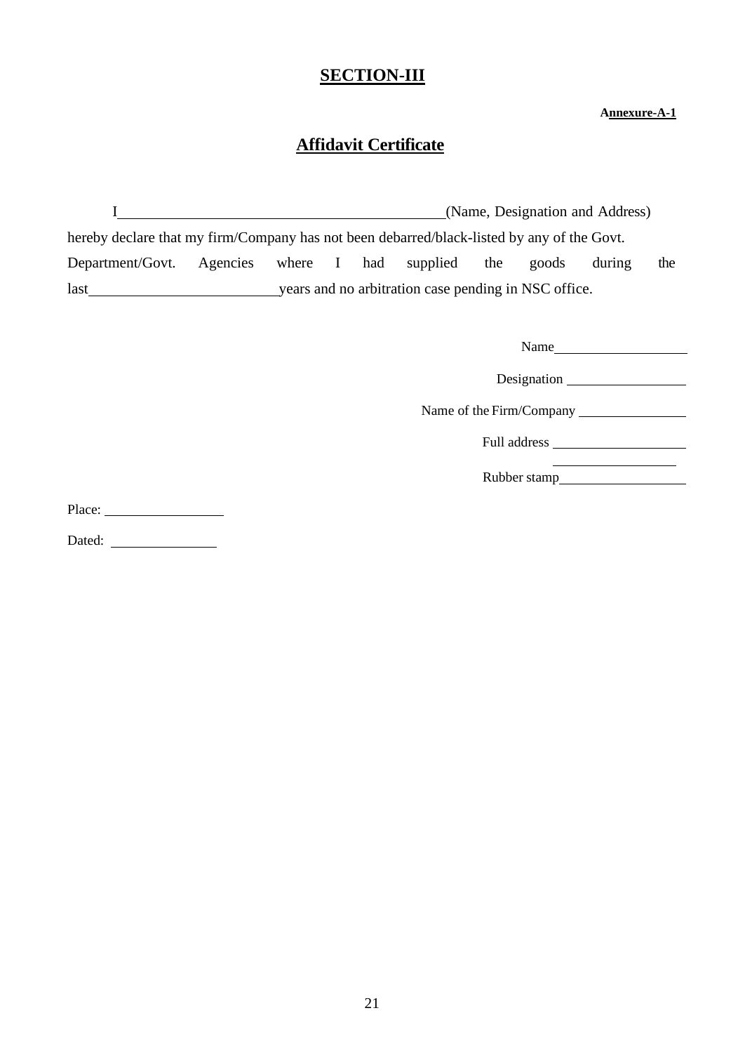## **SECTION-III**

#### **Annexure-A-1**

## **Affidavit Certificate**

| (Name, Designation and Address)                                                            |  |  |  |  |                                                      |     |       |        |     |
|--------------------------------------------------------------------------------------------|--|--|--|--|------------------------------------------------------|-----|-------|--------|-----|
| hereby declare that my firm/Company has not been debarred/black-listed by any of the Govt. |  |  |  |  |                                                      |     |       |        |     |
| Department/Govt. Agencies where I had supplied                                             |  |  |  |  |                                                      | the | goods | during | the |
| last                                                                                       |  |  |  |  | years and no arbitration case pending in NSC office. |     |       |        |     |

| Name                     |
|--------------------------|
| Designation              |
| Name of the Firm/Company |
|                          |
| Rubber stamp             |

Place:

Dated: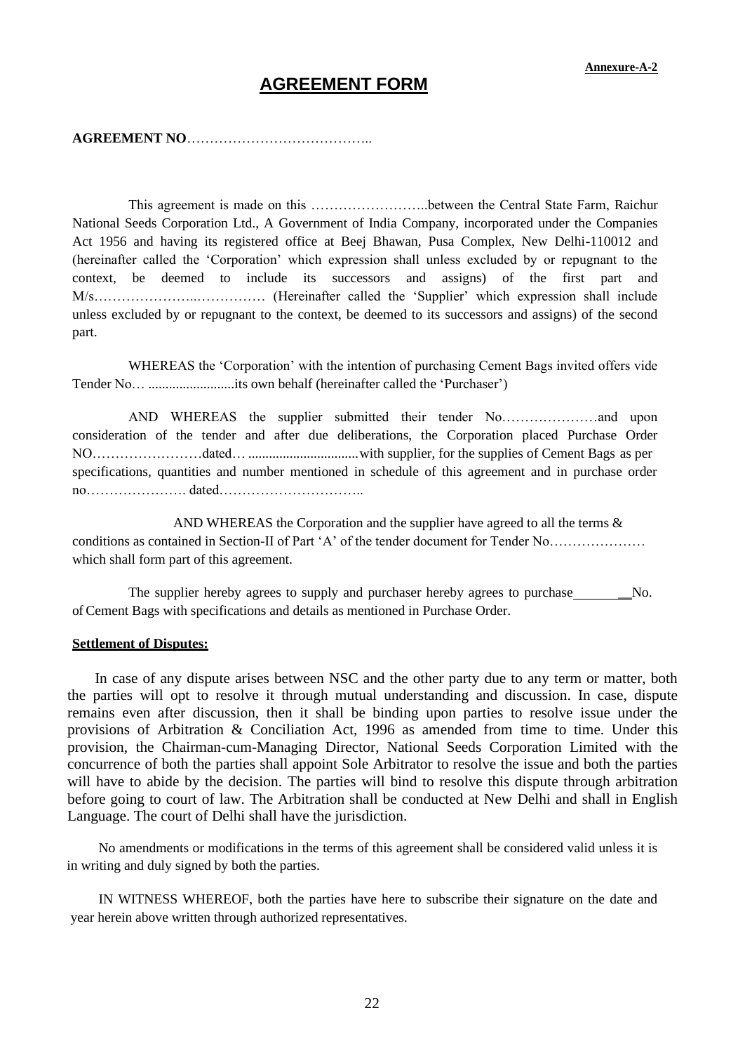### **AGREEMENT FORM**

#### **AGREEMENT NO**…………………………………..

This agreement is made on this ……………………..between the Central State Farm, Raichur National Seeds Corporation Ltd., A Government of India Company, incorporated under the Companies Act 1956 and having its registered office at Beej Bhawan, Pusa Complex, New Delhi-110012 and (hereinafter called the 'Corporation' which expression shall unless excluded by or repugnant to the context, be deemed to include its successors and assigns) of the first part and M/s…………………..…………… (Hereinafter called the 'Supplier' which expression shall include unless excluded by or repugnant to the context, be deemed to its successors and assigns) of the second part.

WHEREAS the 'Corporation' with the intention of purchasing Cement Bags invited offers vide Tender No… .........................its own behalf (hereinafter called the 'Purchaser')

AND WHEREAS the supplier submitted their tender No…………………and upon consideration of the tender and after due deliberations, the Corporation placed Purchase Order NO……………………dated… ................................with supplier, for the supplies of Cement Bags as per specifications, quantities and number mentioned in schedule of this agreement and in purchase order no…………………. dated…………………………..

AND WHEREAS the Corporation and the supplier have agreed to all the terms  $\&$ conditions as contained in Section-II of Part 'A' of the tender document for Tender No………………… which shall form part of this agreement.

The supplier hereby agrees to supply and purchaser hereby agrees to purchase No. of Cement Bags with specifications and details as mentioned in Purchase Order.

#### **Settlement of Disputes:**

In case of any dispute arises between NSC and the other party due to any term or matter, both the parties will opt to resolve it through mutual understanding and discussion. In case, dispute remains even after discussion, then it shall be binding upon parties to resolve issue under the provisions of Arbitration & Conciliation Act, 1996 as amended from time to time. Under this provision, the Chairman-cum-Managing Director, National Seeds Corporation Limited with the concurrence of both the parties shall appoint Sole Arbitrator to resolve the issue and both the parties will have to abide by the decision. The parties will bind to resolve this dispute through arbitration before going to court of law. The Arbitration shall be conducted at New Delhi and shall in English Language. The court of Delhi shall have the jurisdiction.

No amendments or modifications in the terms of this agreement shall be considered valid unless it is in writing and duly signed by both the parties.

IN WITNESS WHEREOF, both the parties have here to subscribe their signature on the date and year herein above written through authorized representatives.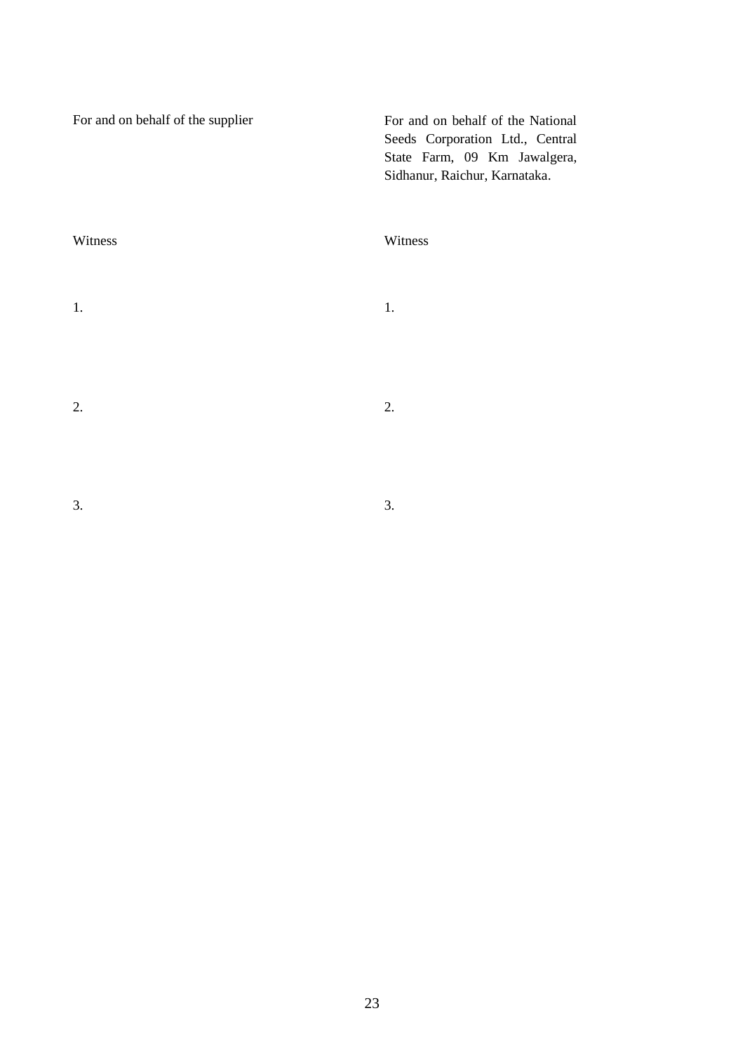| For and on behalf of the supplier | For and on behalf of the National<br>Seeds Corporation Ltd., Central<br>State Farm, 09 Km Jawalgera,<br>Sidhanur, Raichur, Karnataka. |
|-----------------------------------|---------------------------------------------------------------------------------------------------------------------------------------|
| Witness                           | Witness                                                                                                                               |
| 1.                                | 1.                                                                                                                                    |
| 2.                                | 2.                                                                                                                                    |
| 3.                                | 3.                                                                                                                                    |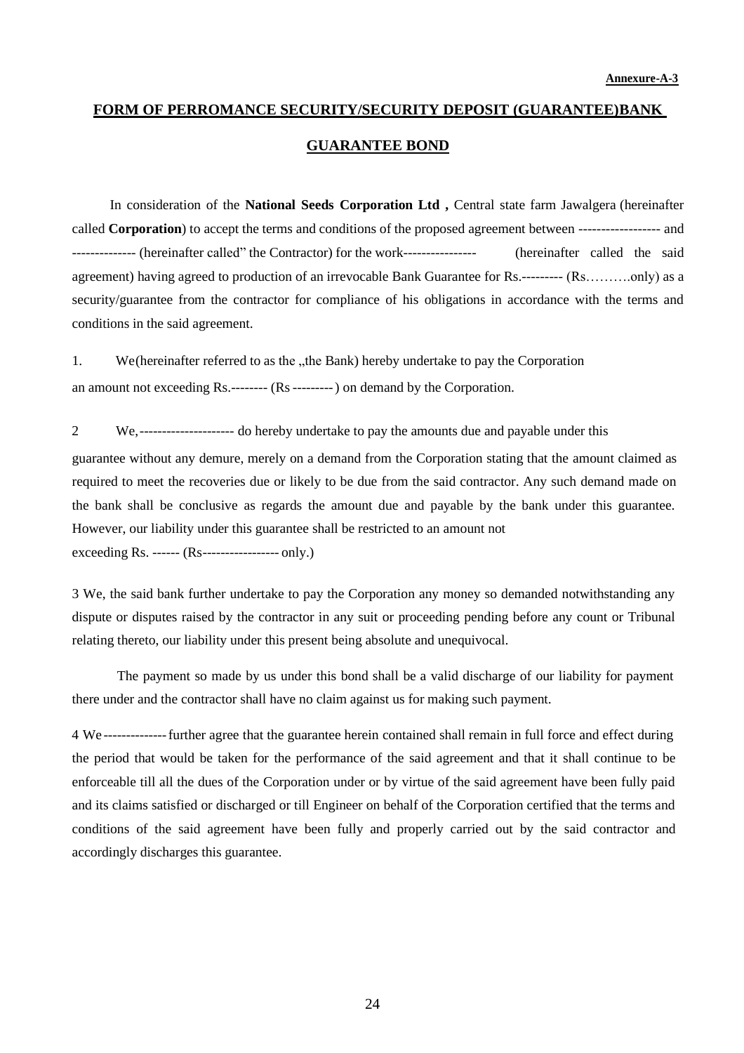# **FORM OF PERROMANCE SECURITY/SECURITY DEPOSIT (GUARANTEE)BANK GUARANTEE BOND**

In consideration of the **National Seeds Corporation Ltd ,** Central state farm Jawalgera (hereinafter called **Corporation**) to accept the terms and conditions of the proposed agreement between ------------------ and -------------- (hereinafter called" the Contractor) for the work---------------- (hereinafter called the said agreement) having agreed to production of an irrevocable Bank Guarantee for Rs.--------- (Rs……….only) as a security/guarantee from the contractor for compliance of his obligations in accordance with the terms and conditions in the said agreement.

1. We (hereinafter referred to as the "the Bank) hereby undertake to pay the Corporation an amount not exceeding Rs.-------- (Rs---------) on demand by the Corporation.

2 We,--------------------- do hereby undertake to pay the amounts due and payable under this

guarantee without any demure, merely on a demand from the Corporation stating that the amount claimed as required to meet the recoveries due or likely to be due from the said contractor. Any such demand made on the bank shall be conclusive as regards the amount due and payable by the bank under this guarantee. However, our liability under this guarantee shall be restricted to an amount not exceeding Rs. ------ (Rs----------------- only.)

3 We, the said bank further undertake to pay the Corporation any money so demanded notwithstanding any dispute or disputes raised by the contractor in any suit or proceeding pending before any count or Tribunal relating thereto, our liability under this present being absolute and unequivocal.

The payment so made by us under this bond shall be a valid discharge of our liability for payment there under and the contractor shall have no claim against us for making such payment.

4 We --------------further agree that the guarantee herein contained shall remain in full force and effect during the period that would be taken for the performance of the said agreement and that it shall continue to be enforceable till all the dues of the Corporation under or by virtue of the said agreement have been fully paid and its claims satisfied or discharged or till Engineer on behalf of the Corporation certified that the terms and conditions of the said agreement have been fully and properly carried out by the said contractor and accordingly discharges this guarantee.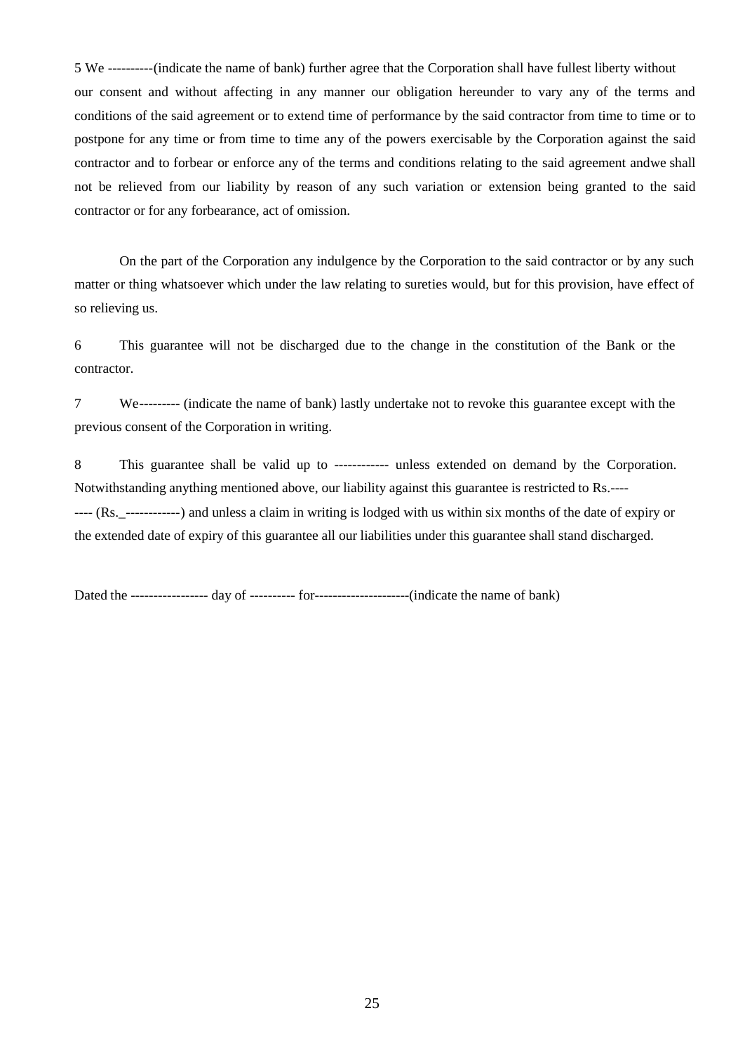5 We ----------(indicate the name of bank) further agree that the Corporation shall have fullest liberty without our consent and without affecting in any manner our obligation hereunder to vary any of the terms and conditions of the said agreement or to extend time of performance by the said contractor from time to time or to postpone for any time or from time to time any of the powers exercisable by the Corporation against the said contractor and to forbear or enforce any of the terms and conditions relating to the said agreement andwe shall not be relieved from our liability by reason of any such variation or extension being granted to the said contractor or for any forbearance, act of omission.

On the part of the Corporation any indulgence by the Corporation to the said contractor or by any such matter or thing whatsoever which under the law relating to sureties would, but for this provision, have effect of so relieving us.

6 This guarantee will not be discharged due to the change in the constitution of the Bank or the contractor.

7 We--------- (indicate the name of bank) lastly undertake not to revoke this guarantee except with the previous consent of the Corporation in writing.

8 This guarantee shall be valid up to ------------ unless extended on demand by the Corporation. Notwithstanding anything mentioned above, our liability against this guarantee is restricted to Rs.---- ---- (Rs.\_------------) and unless a claim in writing is lodged with us within six months of the date of expiry or the extended date of expiry of this guarantee all our liabilities under this guarantee shall stand discharged.

Dated the ----------------- day of ---------- for---------------------(indicate the name of bank)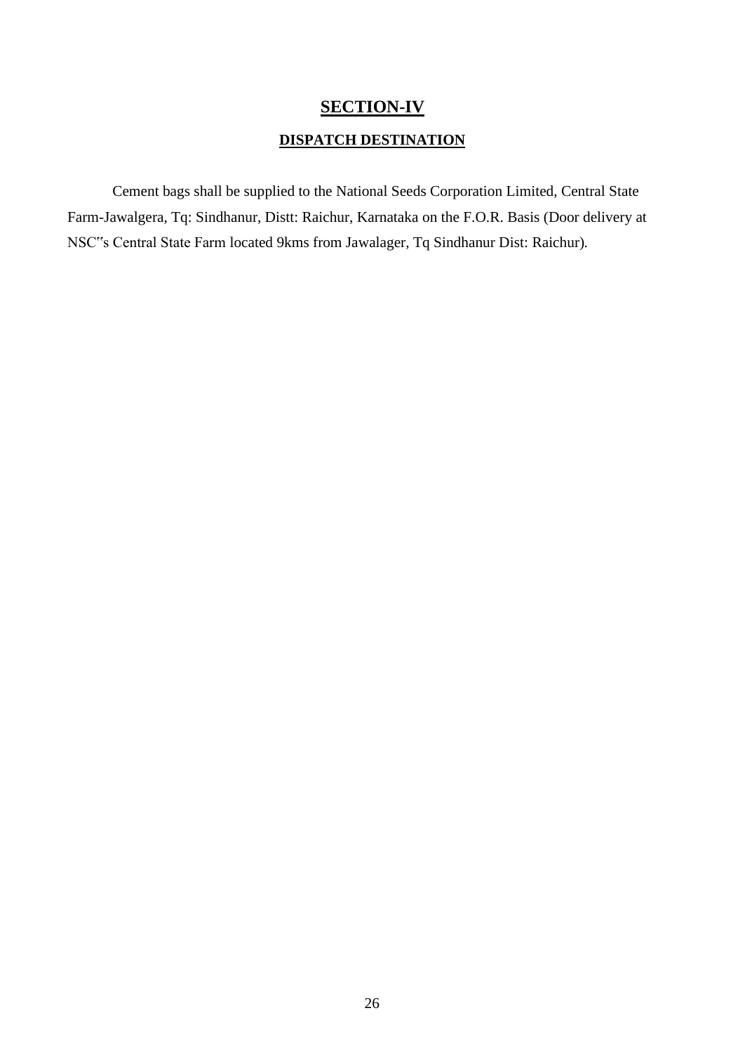## **SECTION-IV**

### **DISPATCH DESTINATION**

Cement bags shall be supplied to the National Seeds Corporation Limited, Central State Farm-Jawalgera, Tq: Sindhanur, Distt: Raichur, Karnataka on the F.O.R. Basis (Door delivery at NSC"s Central State Farm located 9kms from Jawalager, Tq Sindhanur Dist: Raichur).